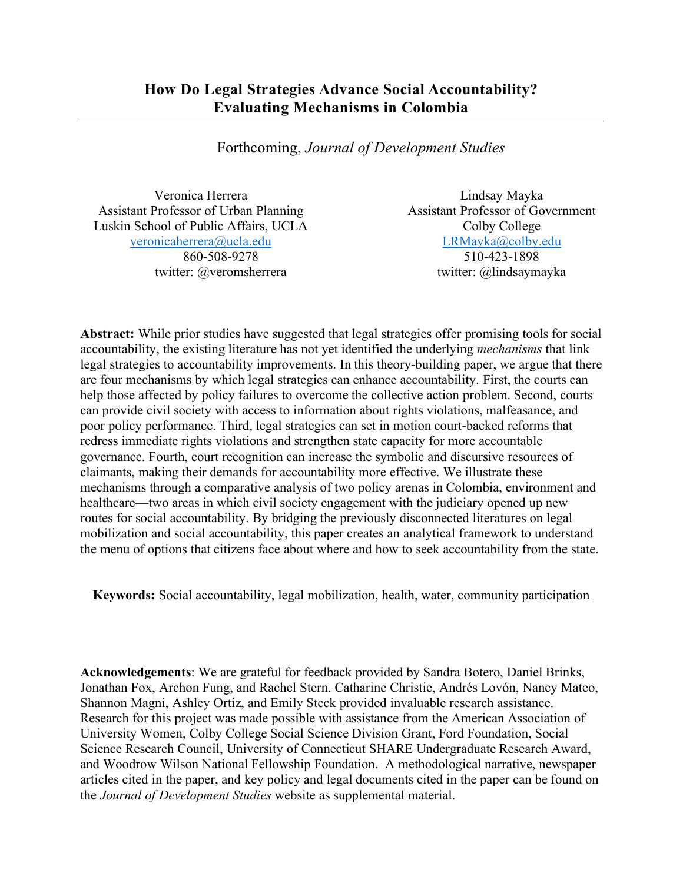Forthcoming, *Journal of Development Studies*

Veronica Herrera Assistant Professor of Urban Planning Luskin School of Public Affairs, UCLA veronicaherrera@ucla.edu 860-508-9278 twitter: @veromsherrera

Lindsay Mayka Assistant Professor of Government Colby College LRMayka@colby.edu 510-423-1898 twitter: @lindsaymayka

**Abstract:** While prior studies have suggested that legal strategies offer promising tools for social accountability, the existing literature has not yet identified the underlying *mechanisms* that link legal strategies to accountability improvements. In this theory-building paper, we argue that there are four mechanisms by which legal strategies can enhance accountability. First, the courts can help those affected by policy failures to overcome the collective action problem. Second, courts can provide civil society with access to information about rights violations, malfeasance, and poor policy performance. Third, legal strategies can set in motion court-backed reforms that redress immediate rights violations and strengthen state capacity for more accountable governance. Fourth, court recognition can increase the symbolic and discursive resources of claimants, making their demands for accountability more effective. We illustrate these mechanisms through a comparative analysis of two policy arenas in Colombia, environment and healthcare—two areas in which civil society engagement with the judiciary opened up new routes for social accountability. By bridging the previously disconnected literatures on legal mobilization and social accountability, this paper creates an analytical framework to understand the menu of options that citizens face about where and how to seek accountability from the state.

**Keywords:** Social accountability, legal mobilization, health, water, community participation

**Acknowledgements**: We are grateful for feedback provided by Sandra Botero, Daniel Brinks, Jonathan Fox, Archon Fung, and Rachel Stern. Catharine Christie, Andrés Lovón, Nancy Mateo, Shannon Magni, Ashley Ortiz, and Emily Steck provided invaluable research assistance. Research for this project was made possible with assistance from the American Association of University Women, Colby College Social Science Division Grant, Ford Foundation, Social Science Research Council, University of Connecticut SHARE Undergraduate Research Award, and Woodrow Wilson National Fellowship Foundation. A methodological narrative, newspaper articles cited in the paper, and key policy and legal documents cited in the paper can be found on the *Journal of Development Studies* website as supplemental material.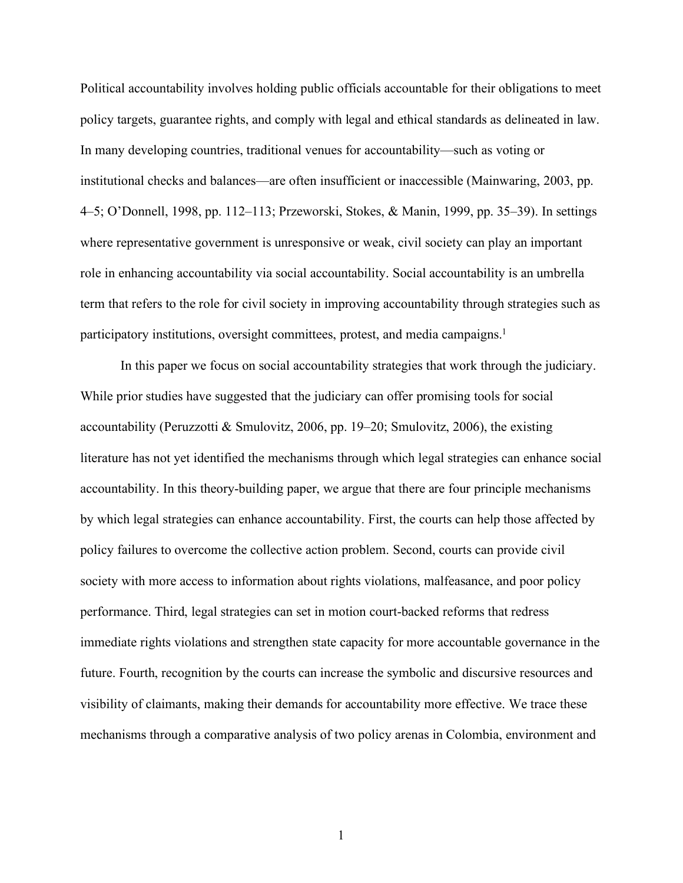Political accountability involves holding public officials accountable for their obligations to meet policy targets, guarantee rights, and comply with legal and ethical standards as delineated in law. In many developing countries, traditional venues for accountability—such as voting or institutional checks and balances—are often insufficient or inaccessible (Mainwaring, 2003, pp. 4–5; O'Donnell, 1998, pp. 112–113; Przeworski, Stokes, & Manin, 1999, pp. 35–39). In settings where representative government is unresponsive or weak, civil society can play an important role in enhancing accountability via social accountability. Social accountability is an umbrella term that refers to the role for civil society in improving accountability through strategies such as participatory institutions, oversight committees, protest, and media campaigns.<sup>1</sup>

In this paper we focus on social accountability strategies that work through the judiciary. While prior studies have suggested that the judiciary can offer promising tools for social accountability (Peruzzotti & Smulovitz, 2006, pp. 19–20; Smulovitz, 2006), the existing literature has not yet identified the mechanisms through which legal strategies can enhance social accountability. In this theory-building paper, we argue that there are four principle mechanisms by which legal strategies can enhance accountability. First, the courts can help those affected by policy failures to overcome the collective action problem. Second, courts can provide civil society with more access to information about rights violations, malfeasance, and poor policy performance. Third, legal strategies can set in motion court-backed reforms that redress immediate rights violations and strengthen state capacity for more accountable governance in the future. Fourth, recognition by the courts can increase the symbolic and discursive resources and visibility of claimants, making their demands for accountability more effective. We trace these mechanisms through a comparative analysis of two policy arenas in Colombia, environment and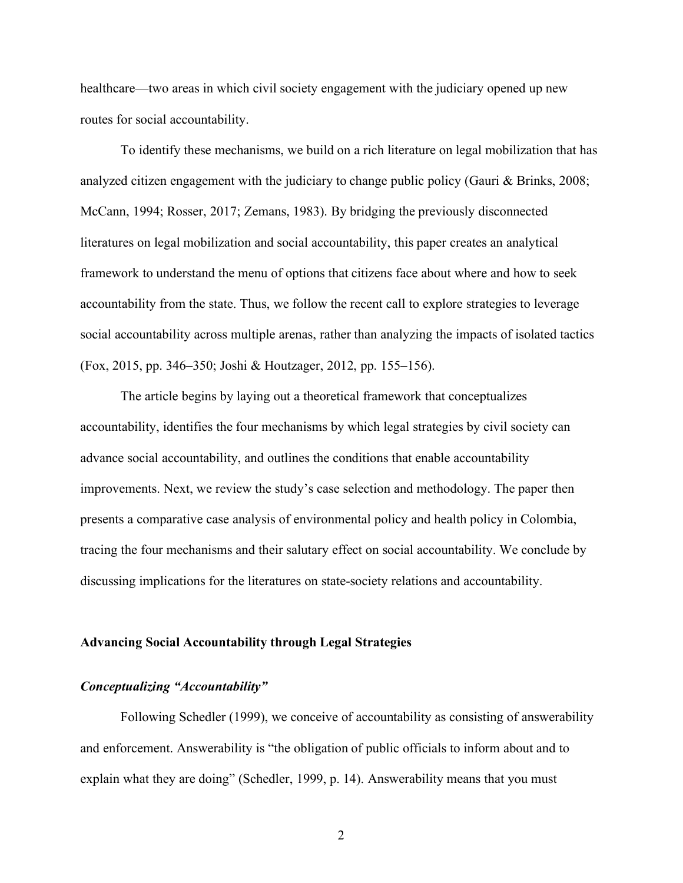healthcare—two areas in which civil society engagement with the judiciary opened up new routes for social accountability.

To identify these mechanisms, we build on a rich literature on legal mobilization that has analyzed citizen engagement with the judiciary to change public policy (Gauri & Brinks, 2008; McCann, 1994; Rosser, 2017; Zemans, 1983). By bridging the previously disconnected literatures on legal mobilization and social accountability, this paper creates an analytical framework to understand the menu of options that citizens face about where and how to seek accountability from the state. Thus, we follow the recent call to explore strategies to leverage social accountability across multiple arenas, rather than analyzing the impacts of isolated tactics (Fox, 2015, pp. 346–350; Joshi & Houtzager, 2012, pp. 155–156).

The article begins by laying out a theoretical framework that conceptualizes accountability, identifies the four mechanisms by which legal strategies by civil society can advance social accountability, and outlines the conditions that enable accountability improvements. Next, we review the study's case selection and methodology. The paper then presents a comparative case analysis of environmental policy and health policy in Colombia, tracing the four mechanisms and their salutary effect on social accountability. We conclude by discussing implications for the literatures on state-society relations and accountability.

#### **Advancing Social Accountability through Legal Strategies**

## *Conceptualizing "Accountability"*

Following Schedler (1999), we conceive of accountability as consisting of answerability and enforcement. Answerability is "the obligation of public officials to inform about and to explain what they are doing" (Schedler, 1999, p. 14). Answerability means that you must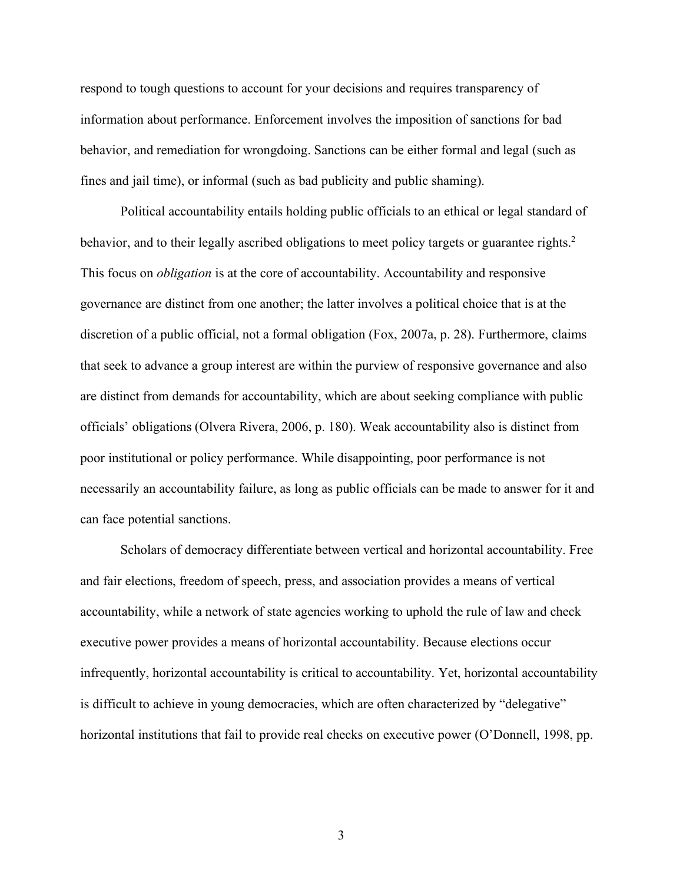respond to tough questions to account for your decisions and requires transparency of information about performance. Enforcement involves the imposition of sanctions for bad behavior, and remediation for wrongdoing. Sanctions can be either formal and legal (such as fines and jail time), or informal (such as bad publicity and public shaming).

Political accountability entails holding public officials to an ethical or legal standard of behavior, and to their legally ascribed obligations to meet policy targets or guarantee rights.<sup>2</sup> This focus on *obligation* is at the core of accountability. Accountability and responsive governance are distinct from one another; the latter involves a political choice that is at the discretion of a public official, not a formal obligation (Fox, 2007a, p. 28). Furthermore, claims that seek to advance a group interest are within the purview of responsive governance and also are distinct from demands for accountability, which are about seeking compliance with public officials' obligations (Olvera Rivera, 2006, p. 180). Weak accountability also is distinct from poor institutional or policy performance. While disappointing, poor performance is not necessarily an accountability failure, as long as public officials can be made to answer for it and can face potential sanctions.

Scholars of democracy differentiate between vertical and horizontal accountability. Free and fair elections, freedom of speech, press, and association provides a means of vertical accountability, while a network of state agencies working to uphold the rule of law and check executive power provides a means of horizontal accountability. Because elections occur infrequently, horizontal accountability is critical to accountability. Yet, horizontal accountability is difficult to achieve in young democracies, which are often characterized by "delegative" horizontal institutions that fail to provide real checks on executive power (O'Donnell, 1998, pp.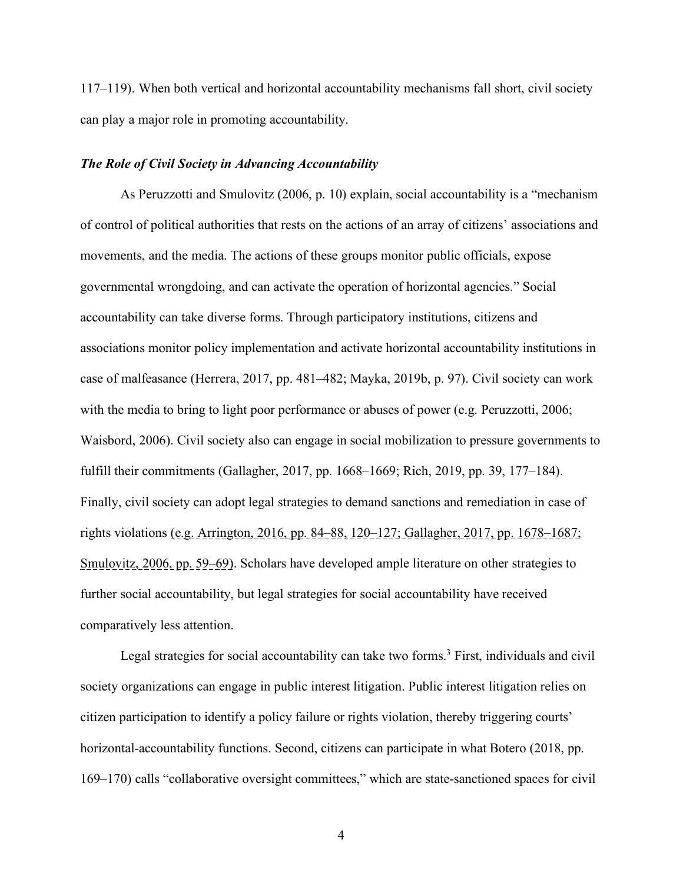117–119). When both vertical and horizontal accountability mechanisms fall short, civil society can play a major role in promoting accountability.

### *The Role of Civil Society in Advancing Accountability*

As Peruzzotti and Smulovitz (2006, p. 10) explain, social accountability is a "mechanism of control of political authorities that rests on the actions of an array of citizens' associations and movements, and the media. The actions of these groups monitor public officials, expose governmental wrongdoing, and can activate the operation of horizontal agencies." Social accountability can take diverse forms. Through participatory institutions, citizens and associations monitor policy implementation and activate horizontal accountability institutions in case of malfeasance (Herrera, 2017, pp. 481–482; Mayka, 2019b, p. 97). Civil society can work with the media to bring to light poor performance or abuses of power (e.g. Peruzzotti, 2006; Waisbord, 2006). Civil society also can engage in social mobilization to pressure governments to fulfill their commitments (Gallagher, 2017, pp. 1668–1669; Rich, 2019, pp. 39, 177–184). Finally, civil society can adopt legal strategies to demand sanctions and remediation in case of rights violations (e.g. Arrington, 2016, pp. 84–88, 120–127; Gallagher, 2017, pp. 1678–1687; Smulovitz, 2006, pp. 59–69). Scholars have developed ample literature on other strategies to further social accountability, but legal strategies for social accountability have received comparatively less attention.

Legal strategies for social accountability can take two forms.<sup>3</sup> First, individuals and civil society organizations can engage in public interest litigation. Public interest litigation relies on citizen participation to identify a policy failure or rights violation, thereby triggering courts' horizontal-accountability functions. Second, citizens can participate in what Botero (2018, pp. 169–170) calls "collaborative oversight committees," which are state-sanctioned spaces for civil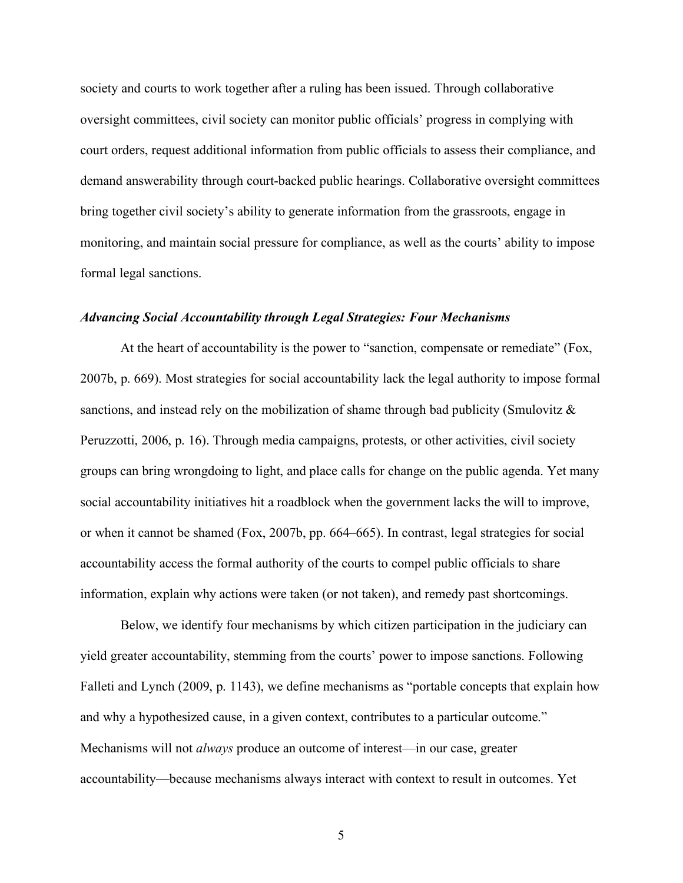society and courts to work together after a ruling has been issued. Through collaborative oversight committees, civil society can monitor public officials' progress in complying with court orders, request additional information from public officials to assess their compliance, and demand answerability through court-backed public hearings. Collaborative oversight committees bring together civil society's ability to generate information from the grassroots, engage in monitoring, and maintain social pressure for compliance, as well as the courts' ability to impose formal legal sanctions.

## *Advancing Social Accountability through Legal Strategies: Four Mechanisms*

At the heart of accountability is the power to "sanction, compensate or remediate" (Fox, 2007b, p. 669). Most strategies for social accountability lack the legal authority to impose formal sanctions, and instead rely on the mobilization of shame through bad publicity (Smulovitz & Peruzzotti, 2006, p. 16). Through media campaigns, protests, or other activities, civil society groups can bring wrongdoing to light, and place calls for change on the public agenda. Yet many social accountability initiatives hit a roadblock when the government lacks the will to improve, or when it cannot be shamed (Fox, 2007b, pp. 664–665). In contrast, legal strategies for social accountability access the formal authority of the courts to compel public officials to share information, explain why actions were taken (or not taken), and remedy past shortcomings.

Below, we identify four mechanisms by which citizen participation in the judiciary can yield greater accountability, stemming from the courts' power to impose sanctions. Following Falleti and Lynch (2009, p. 1143), we define mechanisms as "portable concepts that explain how and why a hypothesized cause, in a given context, contributes to a particular outcome." Mechanisms will not *always* produce an outcome of interest—in our case, greater accountability—because mechanisms always interact with context to result in outcomes. Yet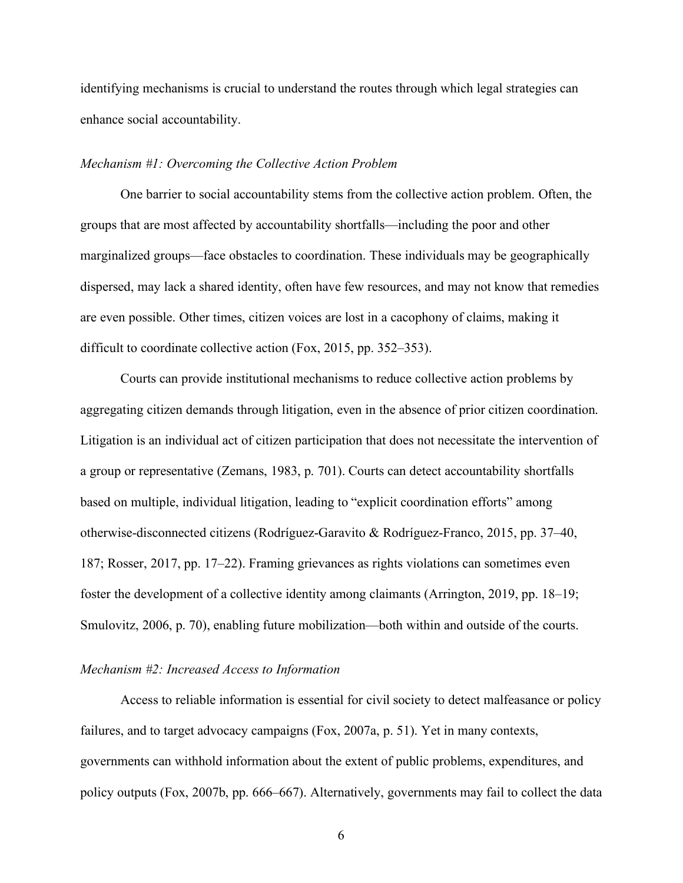identifying mechanisms is crucial to understand the routes through which legal strategies can enhance social accountability.

## *Mechanism #1: Overcoming the Collective Action Problem*

One barrier to social accountability stems from the collective action problem. Often, the groups that are most affected by accountability shortfalls—including the poor and other marginalized groups—face obstacles to coordination. These individuals may be geographically dispersed, may lack a shared identity, often have few resources, and may not know that remedies are even possible. Other times, citizen voices are lost in a cacophony of claims, making it difficult to coordinate collective action (Fox, 2015, pp. 352–353).

Courts can provide institutional mechanisms to reduce collective action problems by aggregating citizen demands through litigation, even in the absence of prior citizen coordination. Litigation is an individual act of citizen participation that does not necessitate the intervention of a group or representative (Zemans, 1983, p. 701). Courts can detect accountability shortfalls based on multiple, individual litigation, leading to "explicit coordination efforts" among otherwise-disconnected citizens (Rodríguez-Garavito & Rodríguez-Franco, 2015, pp. 37–40, 187; Rosser, 2017, pp. 17–22). Framing grievances as rights violations can sometimes even foster the development of a collective identity among claimants (Arrington, 2019, pp. 18–19; Smulovitz, 2006, p. 70), enabling future mobilization—both within and outside of the courts.

## *Mechanism #2: Increased Access to Information*

Access to reliable information is essential for civil society to detect malfeasance or policy failures, and to target advocacy campaigns (Fox, 2007a, p. 51). Yet in many contexts, governments can withhold information about the extent of public problems, expenditures, and policy outputs (Fox, 2007b, pp. 666–667). Alternatively, governments may fail to collect the data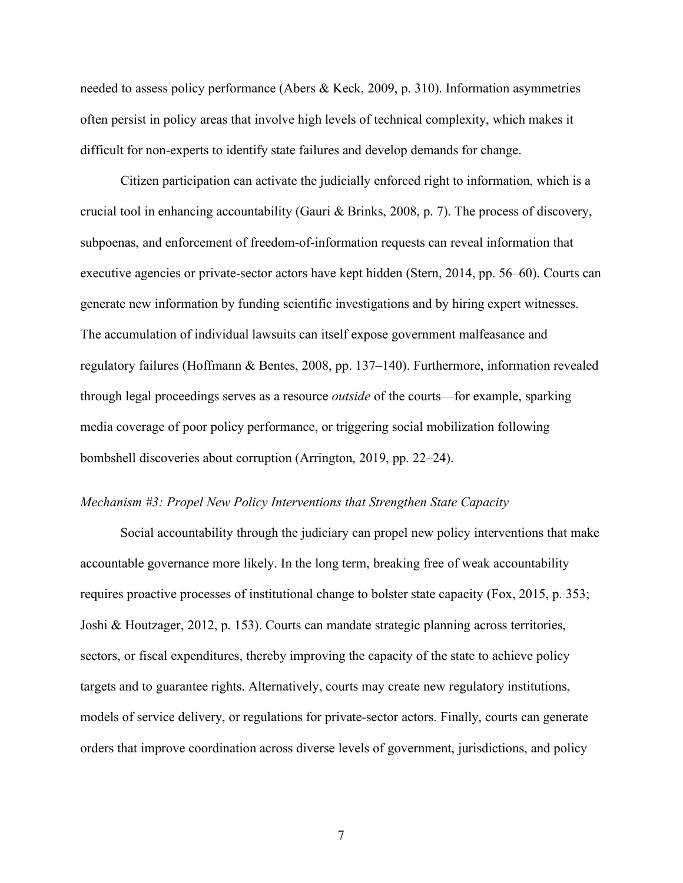needed to assess policy performance (Abers & Keck, 2009, p. 310). Information asymmetries often persist in policy areas that involve high levels of technical complexity, which makes it difficult for non-experts to identify state failures and develop demands for change.

Citizen participation can activate the judicially enforced right to information, which is a crucial tool in enhancing accountability (Gauri & Brinks, 2008, p. 7). The process of discovery, subpoenas, and enforcement of freedom-of-information requests can reveal information that executive agencies or private-sector actors have kept hidden (Stern, 2014, pp. 56–60). Courts can generate new information by funding scientific investigations and by hiring expert witnesses. The accumulation of individual lawsuits can itself expose government malfeasance and regulatory failures (Hoffmann & Bentes, 2008, pp. 137–140). Furthermore, information revealed through legal proceedings serves as a resource *outside* of the courts—for example, sparking media coverage of poor policy performance, or triggering social mobilization following bombshell discoveries about corruption (Arrington, 2019, pp. 22–24).

## *Mechanism #3: Propel New Policy Interventions that Strengthen State Capacity*

Social accountability through the judiciary can propel new policy interventions that make accountable governance more likely. In the long term, breaking free of weak accountability requires proactive processes of institutional change to bolster state capacity (Fox, 2015, p. 353; Joshi & Houtzager, 2012, p. 153). Courts can mandate strategic planning across territories, sectors, or fiscal expenditures, thereby improving the capacity of the state to achieve policy targets and to guarantee rights. Alternatively, courts may create new regulatory institutions, models of service delivery, or regulations for private-sector actors. Finally, courts can generate orders that improve coordination across diverse levels of government, jurisdictions, and policy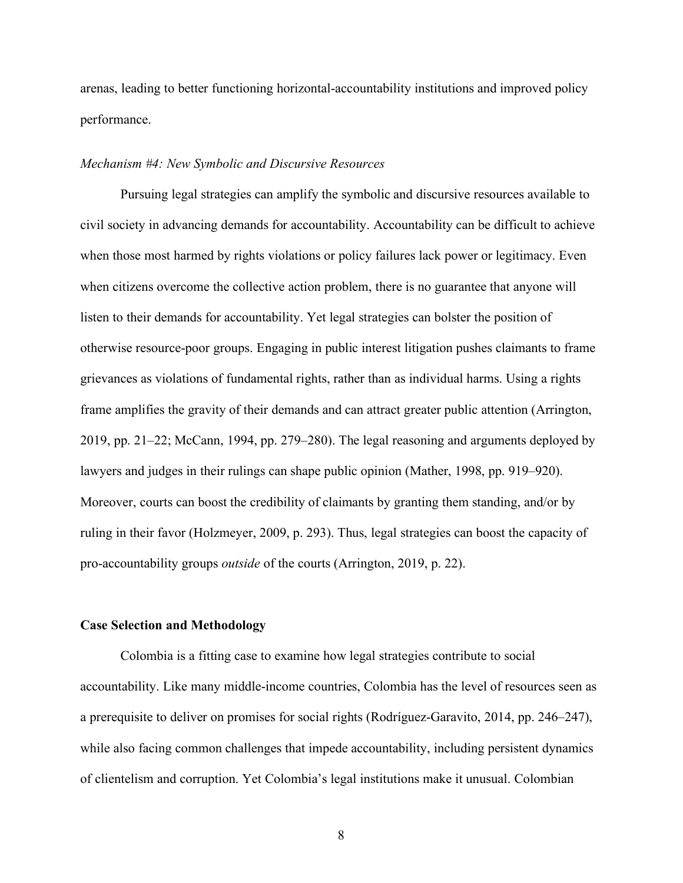arenas, leading to better functioning horizontal-accountability institutions and improved policy performance.

## *Mechanism #4: New Symbolic and Discursive Resources*

Pursuing legal strategies can amplify the symbolic and discursive resources available to civil society in advancing demands for accountability. Accountability can be difficult to achieve when those most harmed by rights violations or policy failures lack power or legitimacy. Even when citizens overcome the collective action problem, there is no guarantee that anyone will listen to their demands for accountability. Yet legal strategies can bolster the position of otherwise resource-poor groups. Engaging in public interest litigation pushes claimants to frame grievances as violations of fundamental rights, rather than as individual harms. Using a rights frame amplifies the gravity of their demands and can attract greater public attention (Arrington, 2019, pp. 21–22; McCann, 1994, pp. 279–280). The legal reasoning and arguments deployed by lawyers and judges in their rulings can shape public opinion (Mather, 1998, pp. 919–920). Moreover, courts can boost the credibility of claimants by granting them standing, and/or by ruling in their favor (Holzmeyer, 2009, p. 293). Thus, legal strategies can boost the capacity of pro-accountability groups *outside* of the courts (Arrington, 2019, p. 22).

# **Case Selection and Methodology**

Colombia is a fitting case to examine how legal strategies contribute to social accountability. Like many middle-income countries, Colombia has the level of resources seen as a prerequisite to deliver on promises for social rights (Rodríguez-Garavito, 2014, pp. 246–247), while also facing common challenges that impede accountability, including persistent dynamics of clientelism and corruption. Yet Colombia's legal institutions make it unusual. Colombian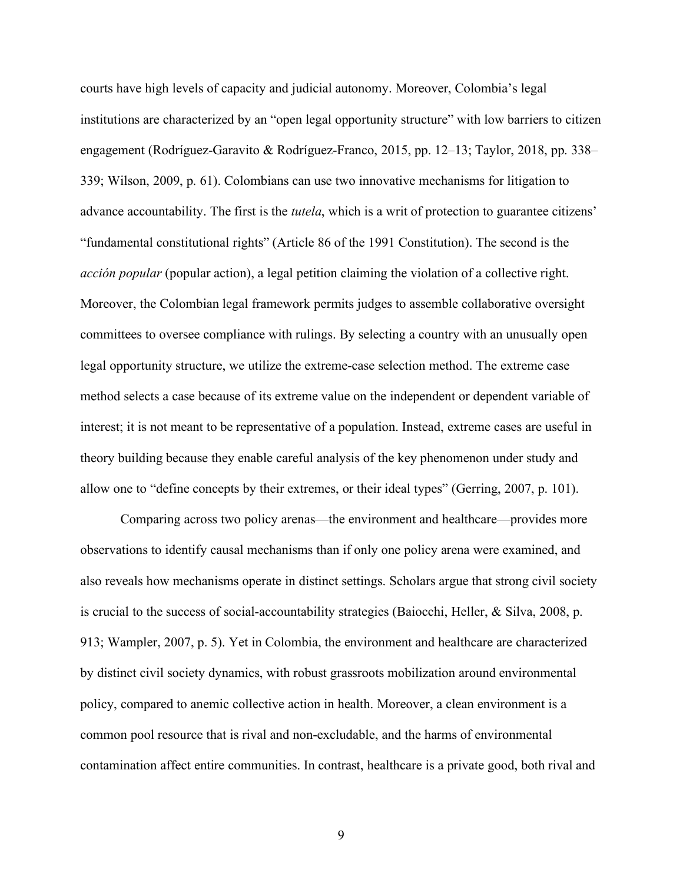courts have high levels of capacity and judicial autonomy. Moreover, Colombia's legal institutions are characterized by an "open legal opportunity structure" with low barriers to citizen engagement (Rodríguez-Garavito & Rodríguez-Franco, 2015, pp. 12–13; Taylor, 2018, pp. 338– 339; Wilson, 2009, p. 61). Colombians can use two innovative mechanisms for litigation to advance accountability. The first is the *tutela*, which is a writ of protection to guarantee citizens' "fundamental constitutional rights" (Article 86 of the 1991 Constitution). The second is the *acción popular* (popular action), a legal petition claiming the violation of a collective right. Moreover, the Colombian legal framework permits judges to assemble collaborative oversight committees to oversee compliance with rulings. By selecting a country with an unusually open legal opportunity structure, we utilize the extreme-case selection method. The extreme case method selects a case because of its extreme value on the independent or dependent variable of interest; it is not meant to be representative of a population. Instead, extreme cases are useful in theory building because they enable careful analysis of the key phenomenon under study and allow one to "define concepts by their extremes, or their ideal types" (Gerring, 2007, p. 101).

Comparing across two policy arenas—the environment and healthcare—provides more observations to identify causal mechanisms than if only one policy arena were examined, and also reveals how mechanisms operate in distinct settings. Scholars argue that strong civil society is crucial to the success of social-accountability strategies (Baiocchi, Heller, & Silva, 2008, p. 913; Wampler, 2007, p. 5). Yet in Colombia, the environment and healthcare are characterized by distinct civil society dynamics, with robust grassroots mobilization around environmental policy, compared to anemic collective action in health. Moreover, a clean environment is a common pool resource that is rival and non-excludable, and the harms of environmental contamination affect entire communities. In contrast, healthcare is a private good, both rival and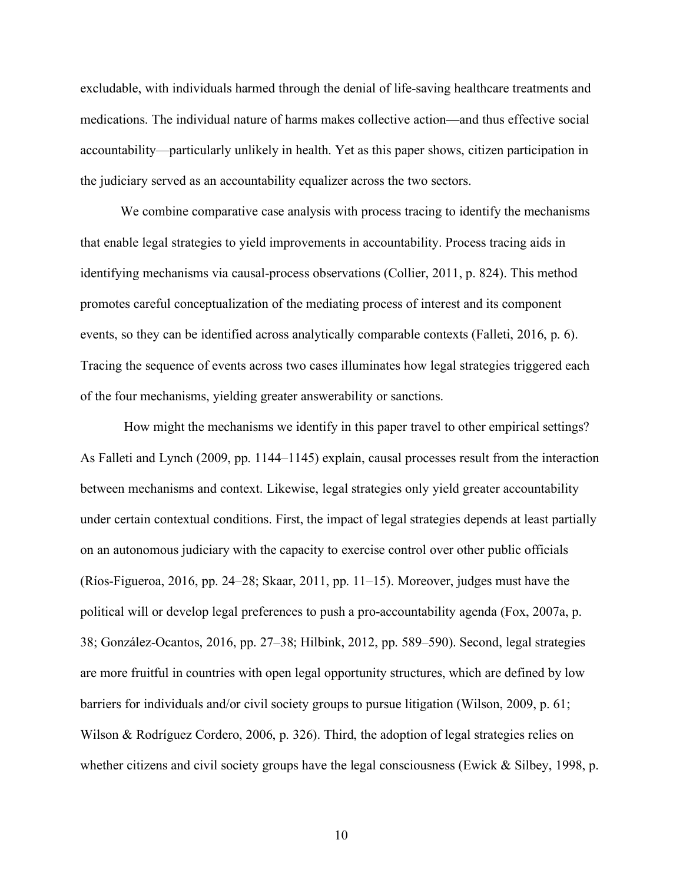excludable, with individuals harmed through the denial of life-saving healthcare treatments and medications. The individual nature of harms makes collective action—and thus effective social accountability—particularly unlikely in health. Yet as this paper shows, citizen participation in the judiciary served as an accountability equalizer across the two sectors.

We combine comparative case analysis with process tracing to identify the mechanisms that enable legal strategies to yield improvements in accountability. Process tracing aids in identifying mechanisms via causal-process observations (Collier, 2011, p. 824). This method promotes careful conceptualization of the mediating process of interest and its component events, so they can be identified across analytically comparable contexts (Falleti, 2016, p. 6). Tracing the sequence of events across two cases illuminates how legal strategies triggered each of the four mechanisms, yielding greater answerability or sanctions.

How might the mechanisms we identify in this paper travel to other empirical settings? As Falleti and Lynch (2009, pp. 1144–1145) explain, causal processes result from the interaction between mechanisms and context. Likewise, legal strategies only yield greater accountability under certain contextual conditions. First, the impact of legal strategies depends at least partially on an autonomous judiciary with the capacity to exercise control over other public officials (Ríos-Figueroa, 2016, pp. 24–28; Skaar, 2011, pp. 11–15). Moreover, judges must have the political will or develop legal preferences to push a pro-accountability agenda (Fox, 2007a, p. 38; González-Ocantos, 2016, pp. 27–38; Hilbink, 2012, pp. 589–590). Second, legal strategies are more fruitful in countries with open legal opportunity structures, which are defined by low barriers for individuals and/or civil society groups to pursue litigation (Wilson, 2009, p. 61; Wilson & Rodríguez Cordero, 2006, p. 326). Third, the adoption of legal strategies relies on whether citizens and civil society groups have the legal consciousness (Ewick & Silbey, 1998, p.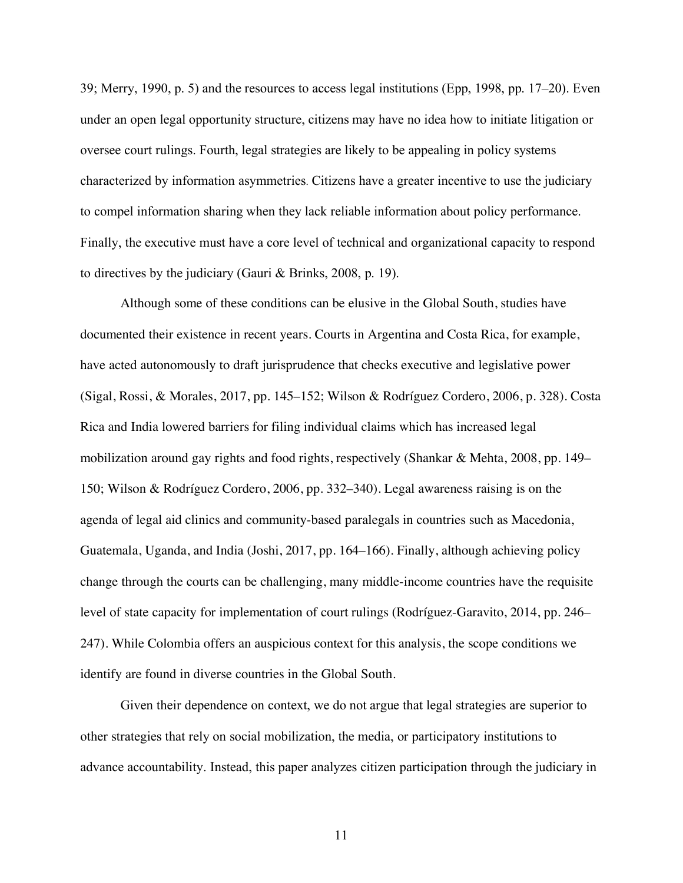39; Merry, 1990, p. 5) and the resources to access legal institutions (Epp, 1998, pp. 17–20). Even under an open legal opportunity structure, citizens may have no idea how to initiate litigation or oversee court rulings. Fourth, legal strategies are likely to be appealing in policy systems characterized by information asymmetries. Citizens have a greater incentive to use the judiciary to compel information sharing when they lack reliable information about policy performance. Finally, the executive must have a core level of technical and organizational capacity to respond to directives by the judiciary (Gauri & Brinks, 2008, p. 19).

Although some of these conditions can be elusive in the Global South, studies have documented their existence in recent years. Courts in Argentina and Costa Rica, for example, have acted autonomously to draft jurisprudence that checks executive and legislative power (Sigal, Rossi, & Morales, 2017, pp. 145–152; Wilson & Rodríguez Cordero, 2006, p. 328). Costa Rica and India lowered barriers for filing individual claims which has increased legal mobilization around gay rights and food rights, respectively (Shankar & Mehta, 2008, pp. 149– 150; Wilson & Rodríguez Cordero, 2006, pp. 332–340). Legal awareness raising is on the agenda of legal aid clinics and community-based paralegals in countries such as Macedonia, Guatemala, Uganda, and India (Joshi, 2017, pp. 164–166). Finally, although achieving policy change through the courts can be challenging, many middle-income countries have the requisite level of state capacity for implementation of court rulings (Rodríguez-Garavito, 2014, pp. 246– 247). While Colombia offers an auspicious context for this analysis, the scope conditions we identify are found in diverse countries in the Global South.

Given their dependence on context, we do not argue that legal strategies are superior to other strategies that rely on social mobilization, the media, or participatory institutions to advance accountability. Instead, this paper analyzes citizen participation through the judiciary in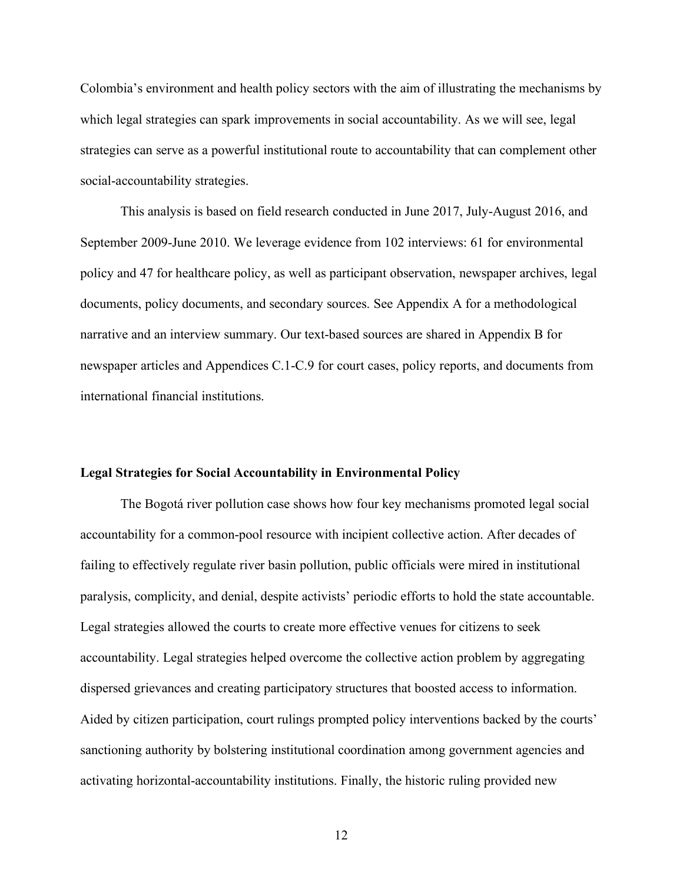Colombia's environment and health policy sectors with the aim of illustrating the mechanisms by which legal strategies can spark improvements in social accountability. As we will see, legal strategies can serve as a powerful institutional route to accountability that can complement other social-accountability strategies.

This analysis is based on field research conducted in June 2017, July-August 2016, and September 2009-June 2010. We leverage evidence from 102 interviews: 61 for environmental policy and 47 for healthcare policy, as well as participant observation, newspaper archives, legal documents, policy documents, and secondary sources. See Appendix A for a methodological narrative and an interview summary. Our text-based sources are shared in Appendix B for newspaper articles and Appendices C.1-C.9 for court cases, policy reports, and documents from international financial institutions.

## **Legal Strategies for Social Accountability in Environmental Policy**

The Bogotá river pollution case shows how four key mechanisms promoted legal social accountability for a common-pool resource with incipient collective action. After decades of failing to effectively regulate river basin pollution, public officials were mired in institutional paralysis, complicity, and denial, despite activists' periodic efforts to hold the state accountable. Legal strategies allowed the courts to create more effective venues for citizens to seek accountability. Legal strategies helped overcome the collective action problem by aggregating dispersed grievances and creating participatory structures that boosted access to information. Aided by citizen participation, court rulings prompted policy interventions backed by the courts' sanctioning authority by bolstering institutional coordination among government agencies and activating horizontal-accountability institutions. Finally, the historic ruling provided new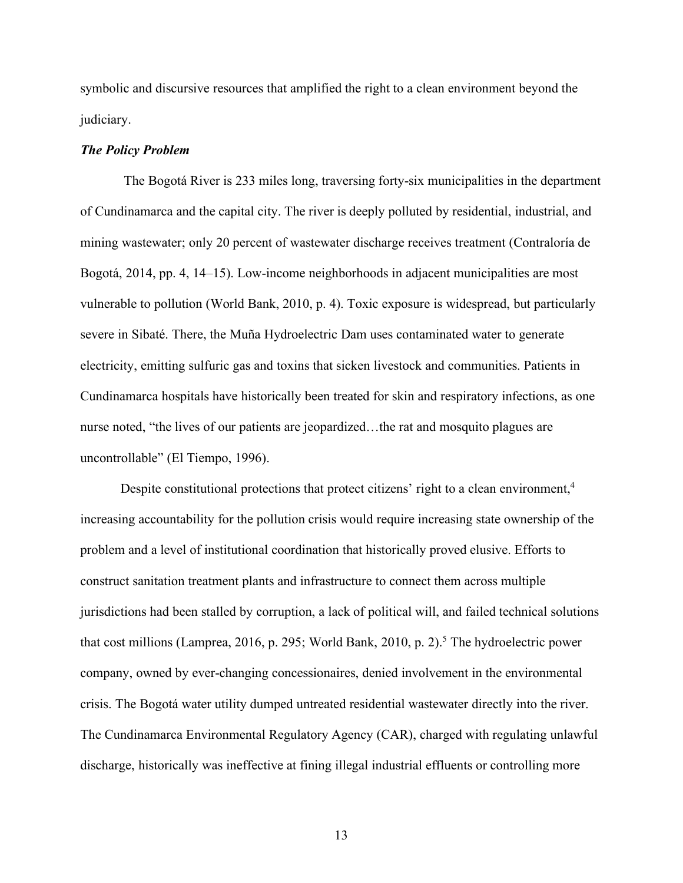symbolic and discursive resources that amplified the right to a clean environment beyond the judiciary.

### *The Policy Problem*

The Bogotá River is 233 miles long, traversing forty-six municipalities in the department of Cundinamarca and the capital city. The river is deeply polluted by residential, industrial, and mining wastewater; only 20 percent of wastewater discharge receives treatment (Contraloría de Bogotá, 2014, pp. 4, 14–15). Low-income neighborhoods in adjacent municipalities are most vulnerable to pollution (World Bank, 2010, p. 4). Toxic exposure is widespread, but particularly severe in Sibaté. There, the Muña Hydroelectric Dam uses contaminated water to generate electricity, emitting sulfuric gas and toxins that sicken livestock and communities. Patients in Cundinamarca hospitals have historically been treated for skin and respiratory infections, as one nurse noted, "the lives of our patients are jeopardized…the rat and mosquito plagues are uncontrollable" (El Tiempo, 1996).

Despite constitutional protections that protect citizens' right to a clean environment,<sup>4</sup> increasing accountability for the pollution crisis would require increasing state ownership of the problem and a level of institutional coordination that historically proved elusive. Efforts to construct sanitation treatment plants and infrastructure to connect them across multiple jurisdictions had been stalled by corruption, a lack of political will, and failed technical solutions that cost millions (Lamprea, 2016, p. 295; World Bank, 2010, p. 2). <sup>5</sup> The hydroelectric power company, owned by ever-changing concessionaires, denied involvement in the environmental crisis. The Bogotá water utility dumped untreated residential wastewater directly into the river. The Cundinamarca Environmental Regulatory Agency (CAR), charged with regulating unlawful discharge, historically was ineffective at fining illegal industrial effluents or controlling more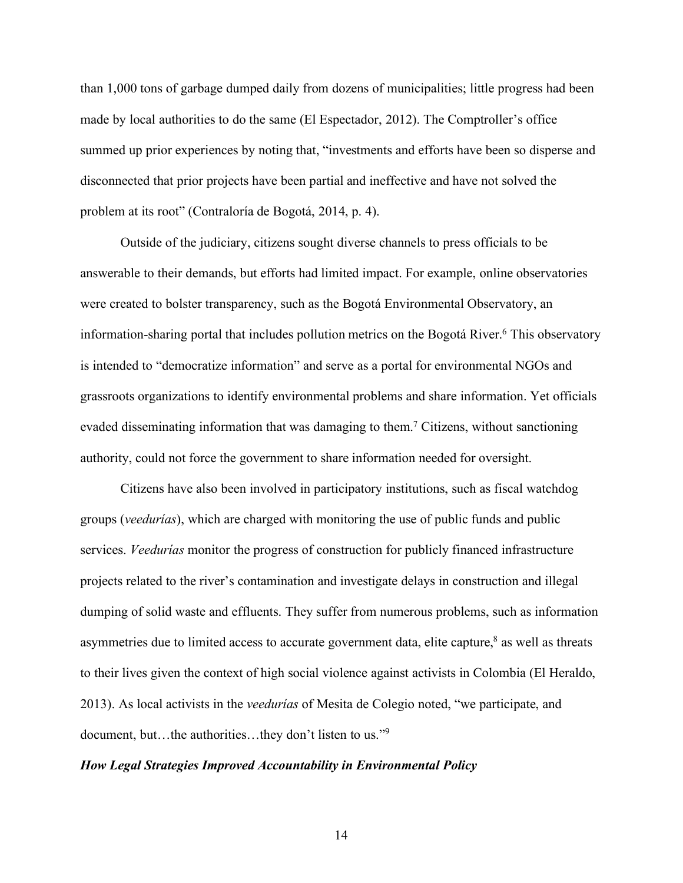than 1,000 tons of garbage dumped daily from dozens of municipalities; little progress had been made by local authorities to do the same (El Espectador, 2012). The Comptroller's office summed up prior experiences by noting that, "investments and efforts have been so disperse and disconnected that prior projects have been partial and ineffective and have not solved the problem at its root" (Contraloría de Bogotá, 2014, p. 4).

Outside of the judiciary, citizens sought diverse channels to press officials to be answerable to their demands, but efforts had limited impact. For example, online observatories were created to bolster transparency, such as the Bogotá Environmental Observatory, an information-sharing portal that includes pollution metrics on the Bogotá River.<sup>6</sup> This observatory is intended to "democratize information" and serve as a portal for environmental NGOs and grassroots organizations to identify environmental problems and share information. Yet officials evaded disseminating information that was damaging to them.7 Citizens, without sanctioning authority, could not force the government to share information needed for oversight.

Citizens have also been involved in participatory institutions, such as fiscal watchdog groups (*veedurías*), which are charged with monitoring the use of public funds and public services. *Veedurías* monitor the progress of construction for publicly financed infrastructure projects related to the river's contamination and investigate delays in construction and illegal dumping of solid waste and effluents. They suffer from numerous problems, such as information asymmetries due to limited access to accurate government data, elite capture, $8$  as well as threats to their lives given the context of high social violence against activists in Colombia (El Heraldo, 2013). As local activists in the *veedurías* of Mesita de Colegio noted, "we participate, and document, but…the authorities…they don't listen to us."9

# *How Legal Strategies Improved Accountability in Environmental Policy*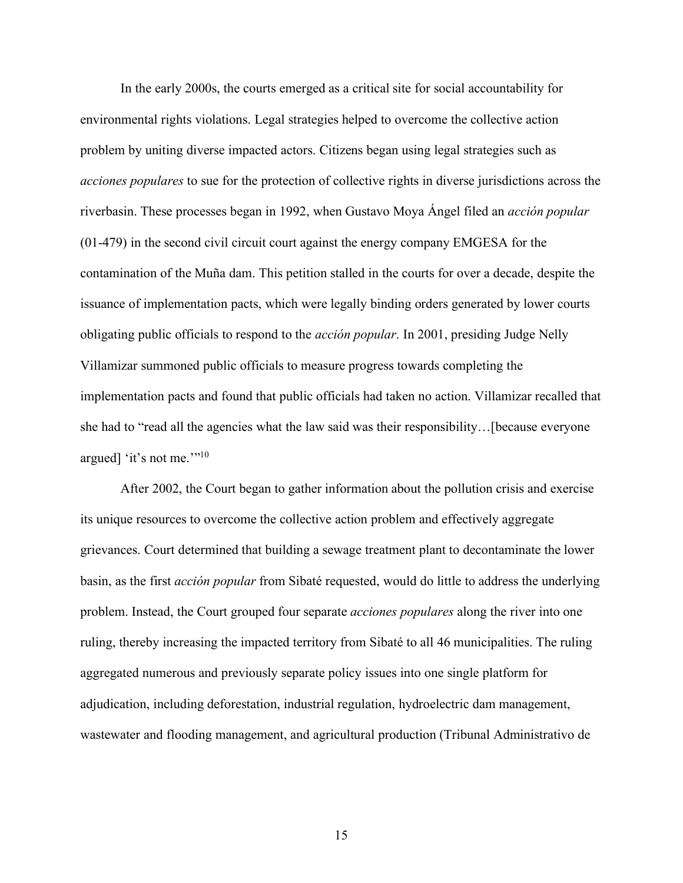In the early 2000s, the courts emerged as a critical site for social accountability for environmental rights violations. Legal strategies helped to overcome the collective action problem by uniting diverse impacted actors. Citizens began using legal strategies such as *acciones populares* to sue for the protection of collective rights in diverse jurisdictions across the riverbasin. These processes began in 1992, when Gustavo Moya Ángel filed an *acción popular* (01-479) in the second civil circuit court against the energy company EMGESA for the contamination of the Muña dam. This petition stalled in the courts for over a decade, despite the issuance of implementation pacts, which were legally binding orders generated by lower courts obligating public officials to respond to the *acción popular*. In 2001, presiding Judge Nelly Villamizar summoned public officials to measure progress towards completing the implementation pacts and found that public officials had taken no action. Villamizar recalled that she had to "read all the agencies what the law said was their responsibility…[because everyone argued] 'it's not me.'"10

After 2002, the Court began to gather information about the pollution crisis and exercise its unique resources to overcome the collective action problem and effectively aggregate grievances. Court determined that building a sewage treatment plant to decontaminate the lower basin, as the first *acción popular* from Sibaté requested, would do little to address the underlying problem. Instead, the Court grouped four separate *acciones populares* along the river into one ruling, thereby increasing the impacted territory from Sibaté to all 46 municipalities. The ruling aggregated numerous and previously separate policy issues into one single platform for adjudication, including deforestation, industrial regulation, hydroelectric dam management, wastewater and flooding management, and agricultural production (Tribunal Administrativo de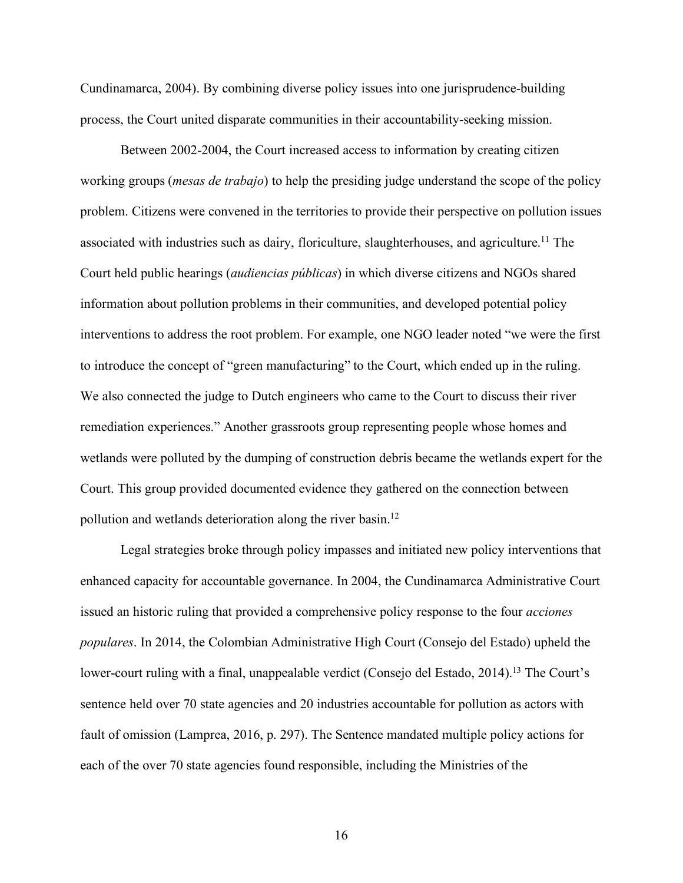Cundinamarca, 2004). By combining diverse policy issues into one jurisprudence-building process, the Court united disparate communities in their accountability-seeking mission.

Between 2002-2004, the Court increased access to information by creating citizen working groups (*mesas de trabajo*) to help the presiding judge understand the scope of the policy problem. Citizens were convened in the territories to provide their perspective on pollution issues associated with industries such as dairy, floriculture, slaughterhouses, and agriculture. <sup>11</sup> The Court held public hearings (*audiencias públicas*) in which diverse citizens and NGOs shared information about pollution problems in their communities, and developed potential policy interventions to address the root problem. For example, one NGO leader noted "we were the first to introduce the concept of "green manufacturing" to the Court, which ended up in the ruling. We also connected the judge to Dutch engineers who came to the Court to discuss their river remediation experiences." Another grassroots group representing people whose homes and wetlands were polluted by the dumping of construction debris became the wetlands expert for the Court. This group provided documented evidence they gathered on the connection between pollution and wetlands deterioration along the river basin.<sup>12</sup>

Legal strategies broke through policy impasses and initiated new policy interventions that enhanced capacity for accountable governance. In 2004, the Cundinamarca Administrative Court issued an historic ruling that provided a comprehensive policy response to the four *acciones populares*. In 2014, the Colombian Administrative High Court (Consejo del Estado) upheld the lower-court ruling with a final, unappealable verdict (Consejo del Estado, 2014).<sup>13</sup> The Court's sentence held over 70 state agencies and 20 industries accountable for pollution as actors with fault of omission (Lamprea, 2016, p. 297). The Sentence mandated multiple policy actions for each of the over 70 state agencies found responsible, including the Ministries of the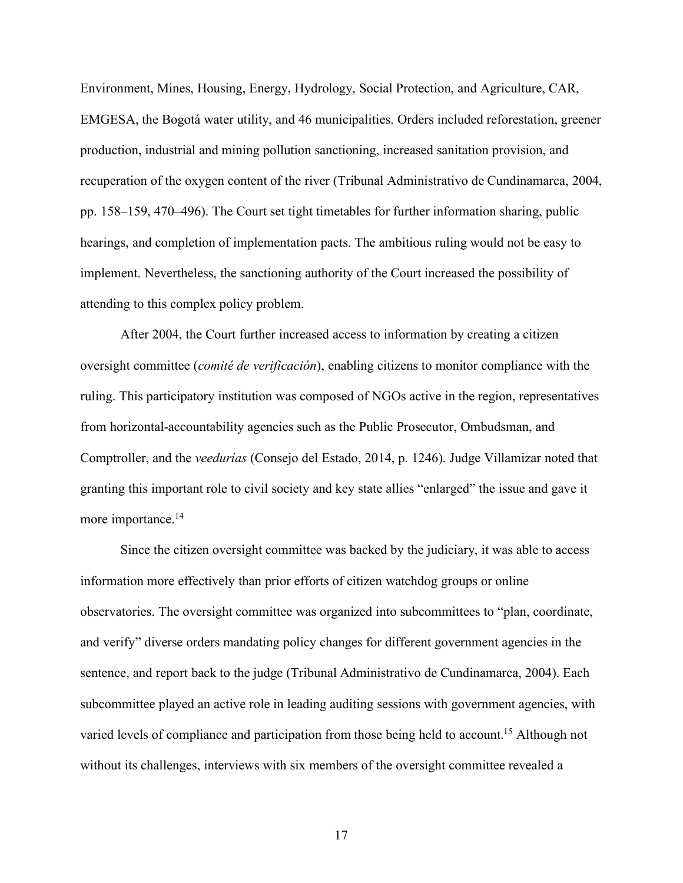Environment, Mines, Housing, Energy, Hydrology, Social Protection, and Agriculture, CAR, EMGESA, the Bogotá water utility, and 46 municipalities. Orders included reforestation, greener production, industrial and mining pollution sanctioning, increased sanitation provision, and recuperation of the oxygen content of the river (Tribunal Administrativo de Cundinamarca, 2004, pp. 158–159, 470–496). The Court set tight timetables for further information sharing, public hearings, and completion of implementation pacts. The ambitious ruling would not be easy to implement. Nevertheless, the sanctioning authority of the Court increased the possibility of attending to this complex policy problem.

After 2004, the Court further increased access to information by creating a citizen oversight committee (*comité de verificación*), enabling citizens to monitor compliance with the ruling. This participatory institution was composed of NGOs active in the region, representatives from horizontal-accountability agencies such as the Public Prosecutor, Ombudsman, and Comptroller, and the *veedurías* (Consejo del Estado, 2014, p. 1246). Judge Villamizar noted that granting this important role to civil society and key state allies "enlarged" the issue and gave it more importance.<sup>14</sup>

Since the citizen oversight committee was backed by the judiciary, it was able to access information more effectively than prior efforts of citizen watchdog groups or online observatories. The oversight committee was organized into subcommittees to "plan, coordinate, and verify" diverse orders mandating policy changes for different government agencies in the sentence, and report back to the judge (Tribunal Administrativo de Cundinamarca, 2004). Each subcommittee played an active role in leading auditing sessions with government agencies, with varied levels of compliance and participation from those being held to account.<sup>15</sup> Although not without its challenges, interviews with six members of the oversight committee revealed a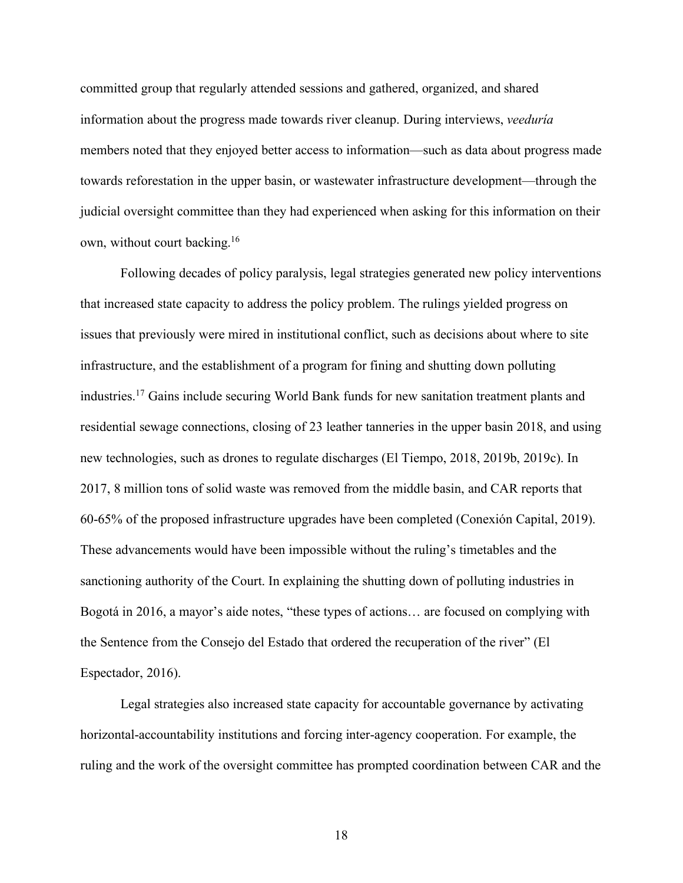committed group that regularly attended sessions and gathered, organized, and shared information about the progress made towards river cleanup. During interviews, *veeduría* members noted that they enjoyed better access to information—such as data about progress made towards reforestation in the upper basin, or wastewater infrastructure development—through the judicial oversight committee than they had experienced when asking for this information on their own, without court backing.16

Following decades of policy paralysis, legal strategies generated new policy interventions that increased state capacity to address the policy problem. The rulings yielded progress on issues that previously were mired in institutional conflict, such as decisions about where to site infrastructure, and the establishment of a program for fining and shutting down polluting industries.17 Gains include securing World Bank funds for new sanitation treatment plants and residential sewage connections, closing of 23 leather tanneries in the upper basin 2018, and using new technologies, such as drones to regulate discharges (El Tiempo, 2018, 2019b, 2019c). In 2017, 8 million tons of solid waste was removed from the middle basin, and CAR reports that 60-65% of the proposed infrastructure upgrades have been completed (Conexión Capital, 2019). These advancements would have been impossible without the ruling's timetables and the sanctioning authority of the Court. In explaining the shutting down of polluting industries in Bogotá in 2016, a mayor's aide notes, "these types of actions… are focused on complying with the Sentence from the Consejo del Estado that ordered the recuperation of the river" (El Espectador, 2016).

Legal strategies also increased state capacity for accountable governance by activating horizontal-accountability institutions and forcing inter-agency cooperation. For example, the ruling and the work of the oversight committee has prompted coordination between CAR and the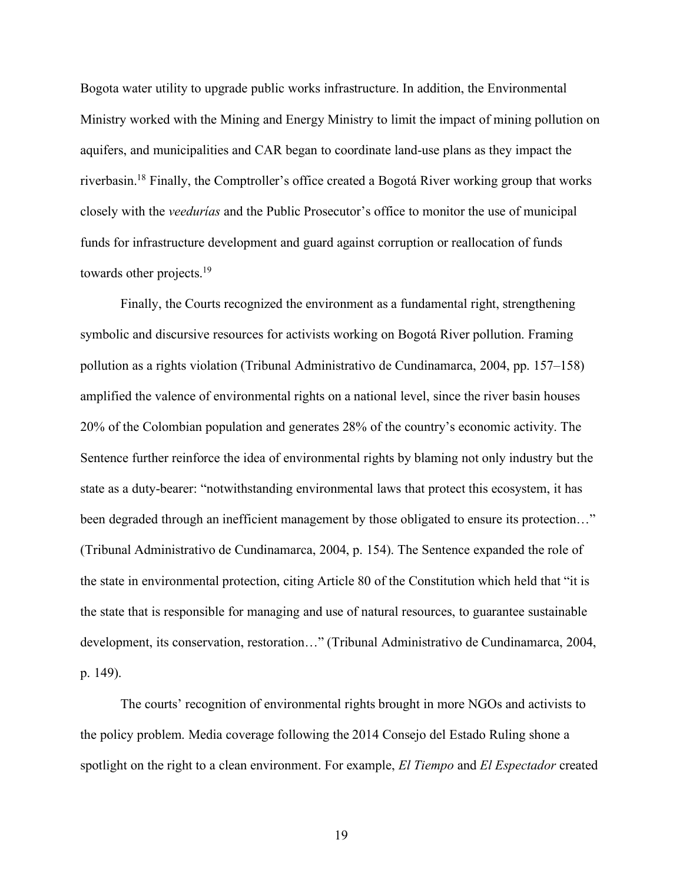Bogota water utility to upgrade public works infrastructure. In addition, the Environmental Ministry worked with the Mining and Energy Ministry to limit the impact of mining pollution on aquifers, and municipalities and CAR began to coordinate land-use plans as they impact the riverbasin.18 Finally, the Comptroller's office created a Bogotá River working group that works closely with the *veedurías* and the Public Prosecutor's office to monitor the use of municipal funds for infrastructure development and guard against corruption or reallocation of funds towards other projects.19

Finally, the Courts recognized the environment as a fundamental right, strengthening symbolic and discursive resources for activists working on Bogotá River pollution. Framing pollution as a rights violation (Tribunal Administrativo de Cundinamarca, 2004, pp. 157–158) amplified the valence of environmental rights on a national level, since the river basin houses 20% of the Colombian population and generates 28% of the country's economic activity. The Sentence further reinforce the idea of environmental rights by blaming not only industry but the state as a duty-bearer: "notwithstanding environmental laws that protect this ecosystem, it has been degraded through an inefficient management by those obligated to ensure its protection..." (Tribunal Administrativo de Cundinamarca, 2004, p. 154). The Sentence expanded the role of the state in environmental protection, citing Article 80 of the Constitution which held that "it is the state that is responsible for managing and use of natural resources, to guarantee sustainable development, its conservation, restoration…" (Tribunal Administrativo de Cundinamarca, 2004, p. 149).

The courts' recognition of environmental rights brought in more NGOs and activists to the policy problem. Media coverage following the 2014 Consejo del Estado Ruling shone a spotlight on the right to a clean environment. For example, *El Tiempo* and *El Espectador* created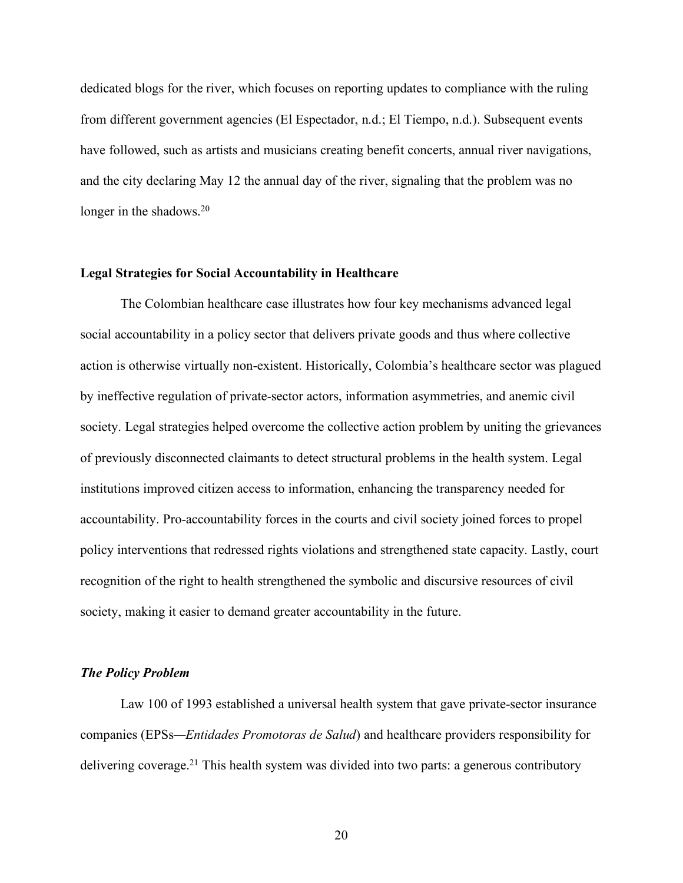dedicated blogs for the river, which focuses on reporting updates to compliance with the ruling from different government agencies (El Espectador, n.d.; El Tiempo, n.d.). Subsequent events have followed, such as artists and musicians creating benefit concerts, annual river navigations, and the city declaring May 12 the annual day of the river, signaling that the problem was no longer in the shadows.<sup>20</sup>

## **Legal Strategies for Social Accountability in Healthcare**

The Colombian healthcare case illustrates how four key mechanisms advanced legal social accountability in a policy sector that delivers private goods and thus where collective action is otherwise virtually non-existent. Historically, Colombia's healthcare sector was plagued by ineffective regulation of private-sector actors, information asymmetries, and anemic civil society. Legal strategies helped overcome the collective action problem by uniting the grievances of previously disconnected claimants to detect structural problems in the health system. Legal institutions improved citizen access to information, enhancing the transparency needed for accountability. Pro-accountability forces in the courts and civil society joined forces to propel policy interventions that redressed rights violations and strengthened state capacity. Lastly, court recognition of the right to health strengthened the symbolic and discursive resources of civil society, making it easier to demand greater accountability in the future.

## *The Policy Problem*

Law 100 of 1993 established a universal health system that gave private-sector insurance companies (EPSs*—Entidades Promotoras de Salud*) and healthcare providers responsibility for delivering coverage.21 This health system was divided into two parts: a generous contributory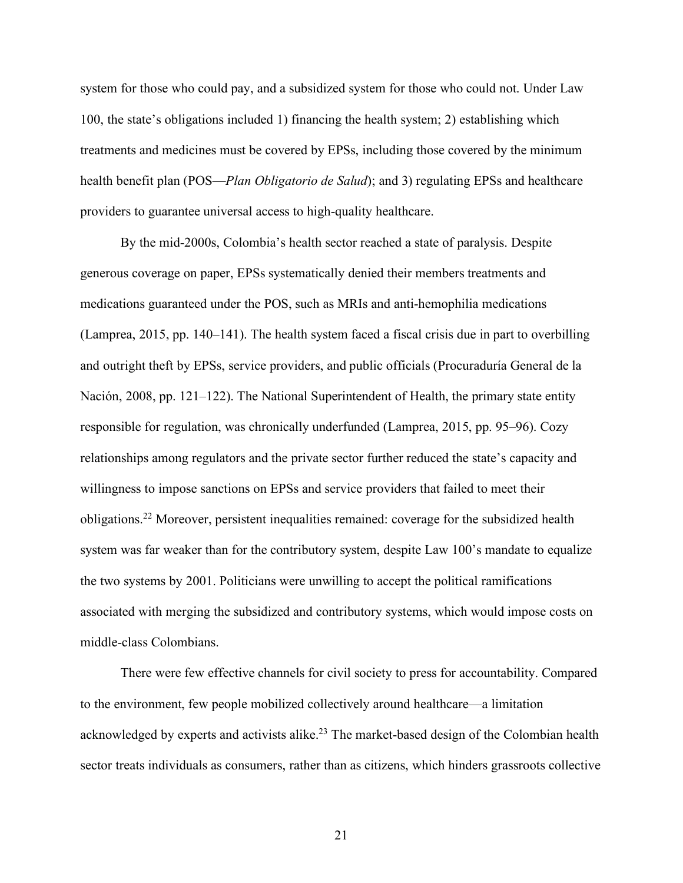system for those who could pay, and a subsidized system for those who could not. Under Law 100, the state's obligations included 1) financing the health system; 2) establishing which treatments and medicines must be covered by EPSs, including those covered by the minimum health benefit plan (POS—*Plan Obligatorio de Salud*); and 3) regulating EPSs and healthcare providers to guarantee universal access to high-quality healthcare.

By the mid-2000s, Colombia's health sector reached a state of paralysis. Despite generous coverage on paper, EPSs systematically denied their members treatments and medications guaranteed under the POS, such as MRIs and anti-hemophilia medications (Lamprea, 2015, pp. 140–141). The health system faced a fiscal crisis due in part to overbilling and outright theft by EPSs, service providers, and public officials (Procuraduría General de la Nación, 2008, pp. 121–122). The National Superintendent of Health, the primary state entity responsible for regulation, was chronically underfunded (Lamprea, 2015, pp. 95–96). Cozy relationships among regulators and the private sector further reduced the state's capacity and willingness to impose sanctions on EPSs and service providers that failed to meet their obligations. <sup>22</sup> Moreover, persistent inequalities remained: coverage for the subsidized health system was far weaker than for the contributory system, despite Law 100's mandate to equalize the two systems by 2001. Politicians were unwilling to accept the political ramifications associated with merging the subsidized and contributory systems, which would impose costs on middle-class Colombians.

There were few effective channels for civil society to press for accountability. Compared to the environment, few people mobilized collectively around healthcare—a limitation acknowledged by experts and activists alike.<sup>23</sup> The market-based design of the Colombian health sector treats individuals as consumers, rather than as citizens, which hinders grassroots collective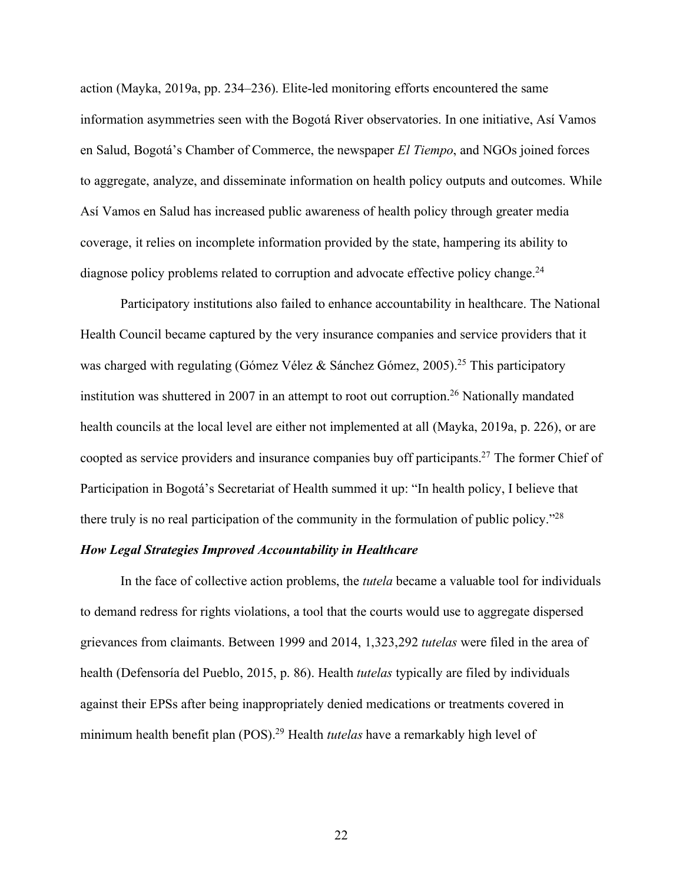action (Mayka, 2019a, pp. 234–236). Elite-led monitoring efforts encountered the same information asymmetries seen with the Bogotá River observatories. In one initiative, Así Vamos en Salud, Bogotá's Chamber of Commerce, the newspaper *El Tiempo*, and NGOs joined forces to aggregate, analyze, and disseminate information on health policy outputs and outcomes. While Así Vamos en Salud has increased public awareness of health policy through greater media coverage, it relies on incomplete information provided by the state, hampering its ability to diagnose policy problems related to corruption and advocate effective policy change.<sup>24</sup>

Participatory institutions also failed to enhance accountability in healthcare. The National Health Council became captured by the very insurance companies and service providers that it was charged with regulating (Gómez Vélez & Sánchez Gómez, 2005). <sup>25</sup> This participatory institution was shuttered in 2007 in an attempt to root out corruption. <sup>26</sup> Nationally mandated health councils at the local level are either not implemented at all (Mayka, 2019a, p. 226), or are coopted as service providers and insurance companies buy off participants. <sup>27</sup> The former Chief of Participation in Bogotá's Secretariat of Health summed it up: "In health policy, I believe that there truly is no real participation of the community in the formulation of public policy."28

## *How Legal Strategies Improved Accountability in Healthcare*

In the face of collective action problems, the *tutela* became a valuable tool for individuals to demand redress for rights violations, a tool that the courts would use to aggregate dispersed grievances from claimants. Between 1999 and 2014, 1,323,292 *tutelas* were filed in the area of health (Defensoría del Pueblo, 2015, p. 86). Health *tutelas* typically are filed by individuals against their EPSs after being inappropriately denied medications or treatments covered in minimum health benefit plan (POS).29 Health *tutelas* have a remarkably high level of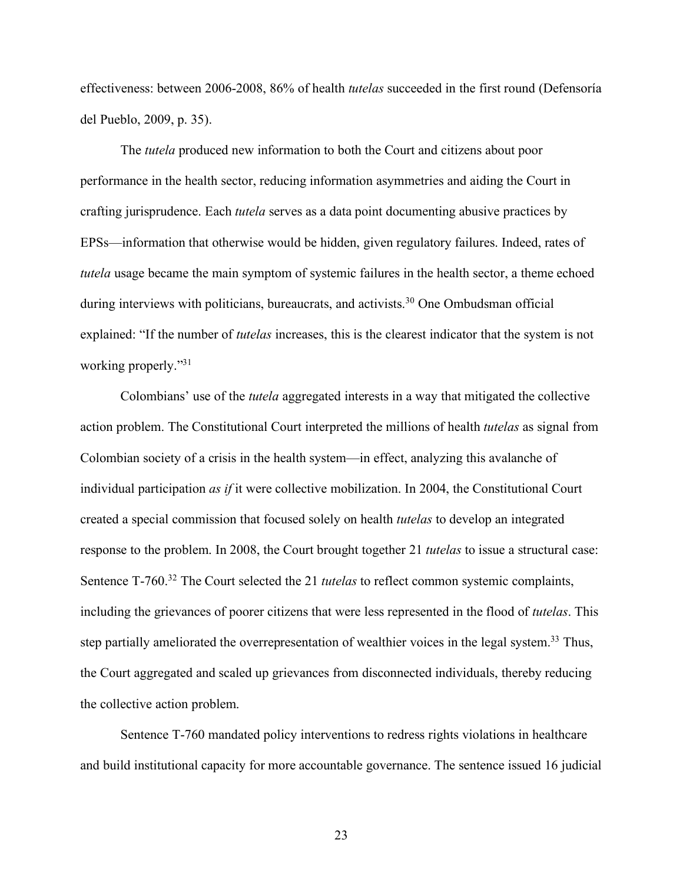effectiveness: between 2006-2008, 86% of health *tutelas* succeeded in the first round (Defensoría del Pueblo, 2009, p. 35).

The *tutela* produced new information to both the Court and citizens about poor performance in the health sector, reducing information asymmetries and aiding the Court in crafting jurisprudence. Each *tutela* serves as a data point documenting abusive practices by EPSs—information that otherwise would be hidden, given regulatory failures. Indeed, rates of *tutela* usage became the main symptom of systemic failures in the health sector, a theme echoed during interviews with politicians, bureaucrats, and activists.<sup>30</sup> One Ombudsman official explained: "If the number of *tutelas* increases, this is the clearest indicator that the system is not working properly."31

Colombians' use of the *tutela* aggregated interests in a way that mitigated the collective action problem. The Constitutional Court interpreted the millions of health *tutelas* as signal from Colombian society of a crisis in the health system—in effect, analyzing this avalanche of individual participation *as if* it were collective mobilization. In 2004, the Constitutional Court created a special commission that focused solely on health *tutelas* to develop an integrated response to the problem. In 2008, the Court brought together 21 *tutelas* to issue a structural case: Sentence T-760.<sup>32</sup> The Court selected the 21 *tutelas* to reflect common systemic complaints, including the grievances of poorer citizens that were less represented in the flood of *tutelas*. This step partially ameliorated the overrepresentation of wealthier voices in the legal system.<sup>33</sup> Thus, the Court aggregated and scaled up grievances from disconnected individuals, thereby reducing the collective action problem.

Sentence T-760 mandated policy interventions to redress rights violations in healthcare and build institutional capacity for more accountable governance. The sentence issued 16 judicial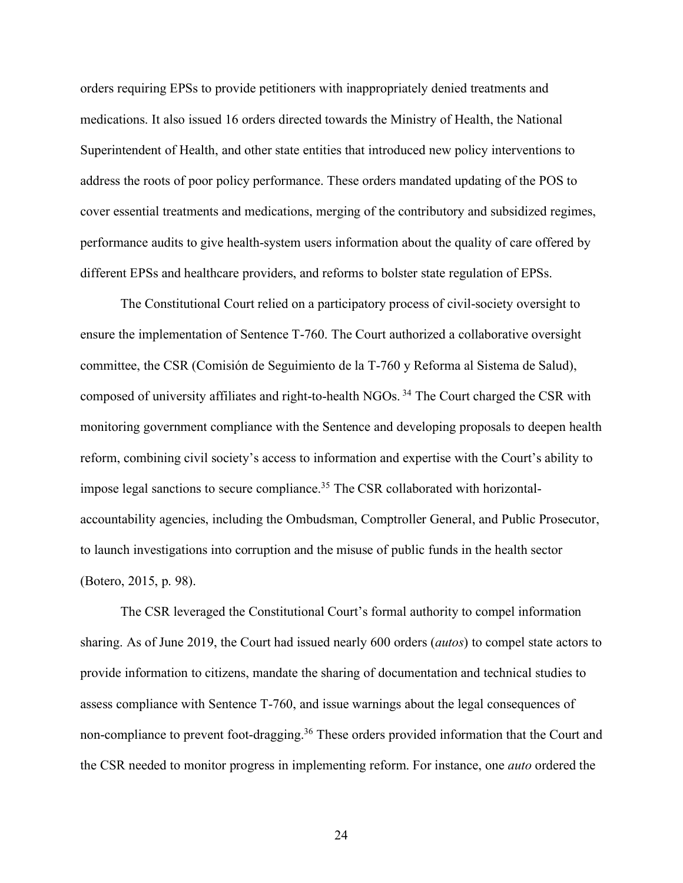orders requiring EPSs to provide petitioners with inappropriately denied treatments and medications. It also issued 16 orders directed towards the Ministry of Health, the National Superintendent of Health, and other state entities that introduced new policy interventions to address the roots of poor policy performance. These orders mandated updating of the POS to cover essential treatments and medications, merging of the contributory and subsidized regimes, performance audits to give health-system users information about the quality of care offered by different EPSs and healthcare providers, and reforms to bolster state regulation of EPSs.

The Constitutional Court relied on a participatory process of civil-society oversight to ensure the implementation of Sentence T-760. The Court authorized a collaborative oversight committee, the CSR (Comisión de Seguimiento de la T-760 y Reforma al Sistema de Salud), composed of university affiliates and right-to-health NGOs. <sup>34</sup> The Court charged the CSR with monitoring government compliance with the Sentence and developing proposals to deepen health reform, combining civil society's access to information and expertise with the Court's ability to impose legal sanctions to secure compliance.<sup>35</sup> The CSR collaborated with horizontalaccountability agencies, including the Ombudsman, Comptroller General, and Public Prosecutor, to launch investigations into corruption and the misuse of public funds in the health sector (Botero, 2015, p. 98).

The CSR leveraged the Constitutional Court's formal authority to compel information sharing. As of June 2019, the Court had issued nearly 600 orders (*autos*) to compel state actors to provide information to citizens, mandate the sharing of documentation and technical studies to assess compliance with Sentence T-760, and issue warnings about the legal consequences of non-compliance to prevent foot-dragging.<sup>36</sup> These orders provided information that the Court and the CSR needed to monitor progress in implementing reform. For instance, one *auto* ordered the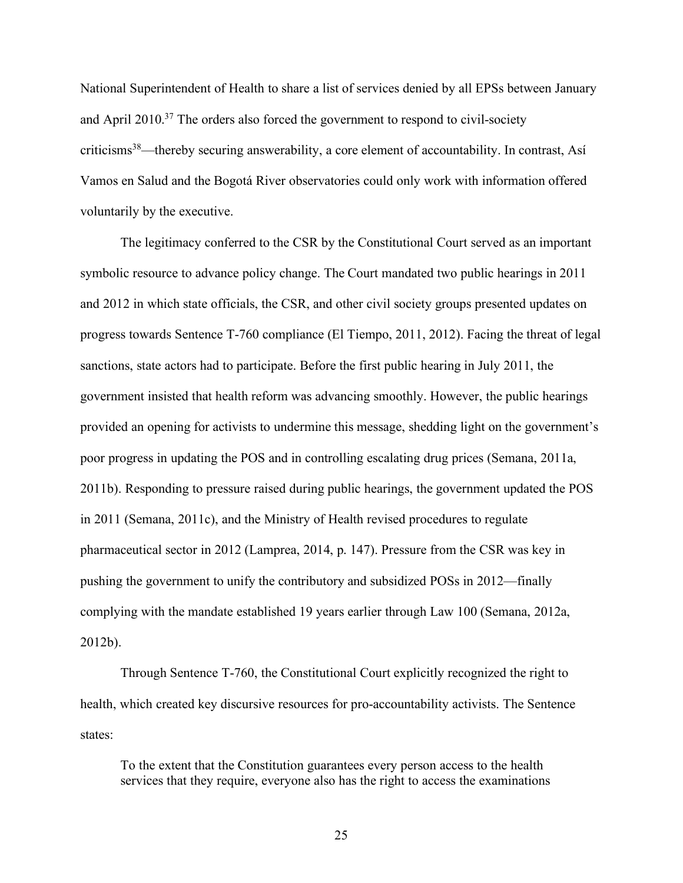National Superintendent of Health to share a list of services denied by all EPSs between January and April 2010.37 The orders also forced the government to respond to civil-society criticisms38—thereby securing answerability, a core element of accountability. In contrast, Así Vamos en Salud and the Bogotá River observatories could only work with information offered voluntarily by the executive.

The legitimacy conferred to the CSR by the Constitutional Court served as an important symbolic resource to advance policy change. The Court mandated two public hearings in 2011 and 2012 in which state officials, the CSR, and other civil society groups presented updates on progress towards Sentence T-760 compliance (El Tiempo, 2011, 2012). Facing the threat of legal sanctions, state actors had to participate. Before the first public hearing in July 2011, the government insisted that health reform was advancing smoothly. However, the public hearings provided an opening for activists to undermine this message, shedding light on the government's poor progress in updating the POS and in controlling escalating drug prices (Semana, 2011a, 2011b). Responding to pressure raised during public hearings, the government updated the POS in 2011 (Semana, 2011c), and the Ministry of Health revised procedures to regulate pharmaceutical sector in 2012 (Lamprea, 2014, p. 147). Pressure from the CSR was key in pushing the government to unify the contributory and subsidized POSs in 2012—finally complying with the mandate established 19 years earlier through Law 100 (Semana, 2012a, 2012b).

Through Sentence T-760, the Constitutional Court explicitly recognized the right to health, which created key discursive resources for pro-accountability activists. The Sentence states:

To the extent that the Constitution guarantees every person access to the health services that they require, everyone also has the right to access the examinations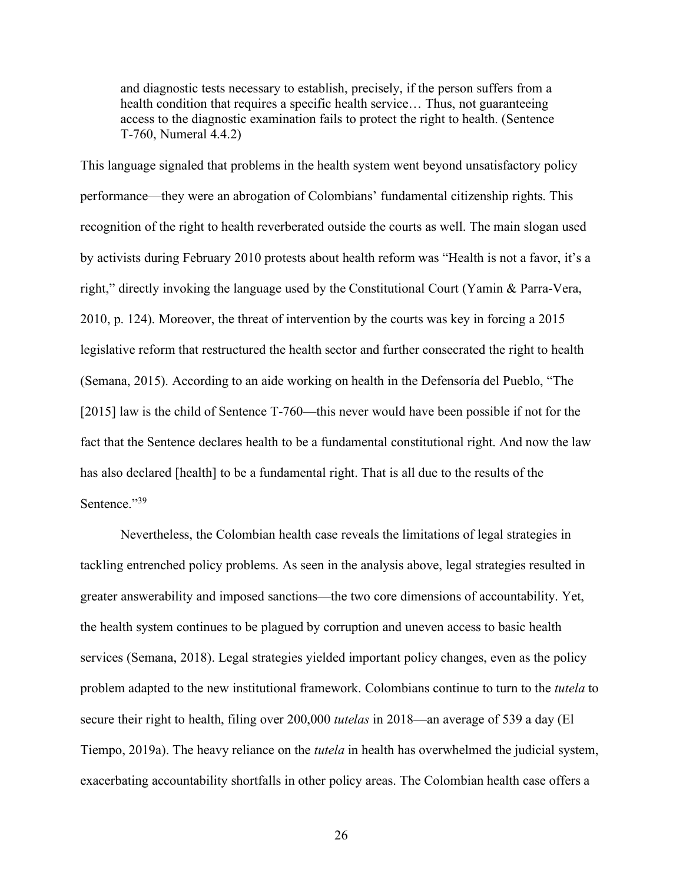and diagnostic tests necessary to establish, precisely, if the person suffers from a health condition that requires a specific health service… Thus, not guaranteeing access to the diagnostic examination fails to protect the right to health. (Sentence T-760, Numeral 4.4.2)

This language signaled that problems in the health system went beyond unsatisfactory policy performance—they were an abrogation of Colombians' fundamental citizenship rights. This recognition of the right to health reverberated outside the courts as well. The main slogan used by activists during February 2010 protests about health reform was "Health is not a favor, it's a right," directly invoking the language used by the Constitutional Court (Yamin & Parra-Vera, 2010, p. 124). Moreover, the threat of intervention by the courts was key in forcing a 2015 legislative reform that restructured the health sector and further consecrated the right to health (Semana, 2015). According to an aide working on health in the Defensoría del Pueblo, "The [2015] law is the child of Sentence T-760—this never would have been possible if not for the fact that the Sentence declares health to be a fundamental constitutional right. And now the law has also declared [health] to be a fundamental right. That is all due to the results of the Sentence."39

Nevertheless, the Colombian health case reveals the limitations of legal strategies in tackling entrenched policy problems. As seen in the analysis above, legal strategies resulted in greater answerability and imposed sanctions—the two core dimensions of accountability. Yet, the health system continues to be plagued by corruption and uneven access to basic health services (Semana, 2018). Legal strategies yielded important policy changes, even as the policy problem adapted to the new institutional framework. Colombians continue to turn to the *tutela* to secure their right to health, filing over 200,000 *tutelas* in 2018—an average of 539 a day (El Tiempo, 2019a). The heavy reliance on the *tutela* in health has overwhelmed the judicial system, exacerbating accountability shortfalls in other policy areas. The Colombian health case offers a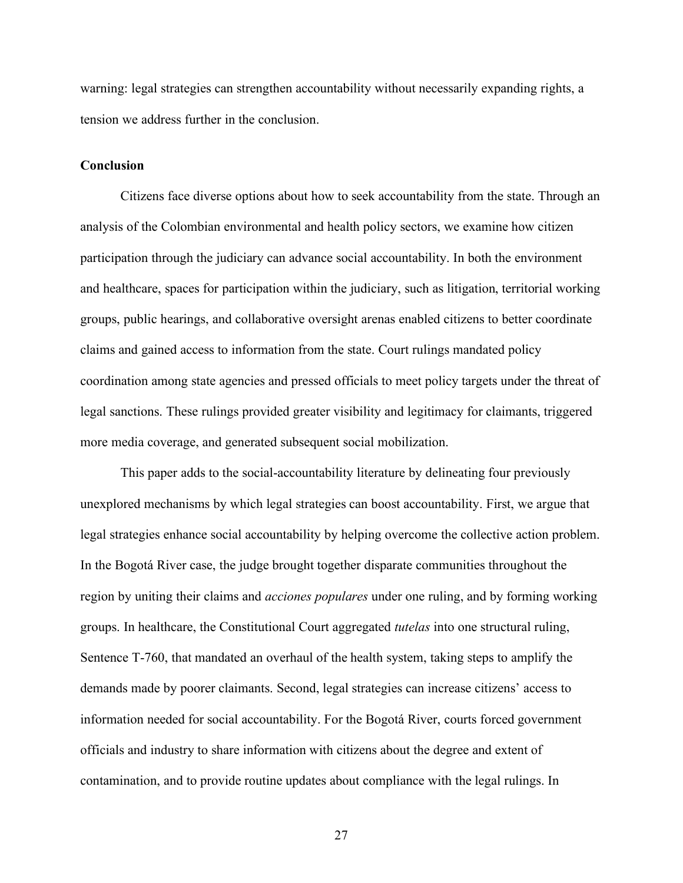warning: legal strategies can strengthen accountability without necessarily expanding rights, a tension we address further in the conclusion.

# **Conclusion**

Citizens face diverse options about how to seek accountability from the state. Through an analysis of the Colombian environmental and health policy sectors, we examine how citizen participation through the judiciary can advance social accountability. In both the environment and healthcare, spaces for participation within the judiciary, such as litigation, territorial working groups, public hearings, and collaborative oversight arenas enabled citizens to better coordinate claims and gained access to information from the state. Court rulings mandated policy coordination among state agencies and pressed officials to meet policy targets under the threat of legal sanctions. These rulings provided greater visibility and legitimacy for claimants, triggered more media coverage, and generated subsequent social mobilization.

This paper adds to the social-accountability literature by delineating four previously unexplored mechanisms by which legal strategies can boost accountability. First, we argue that legal strategies enhance social accountability by helping overcome the collective action problem. In the Bogotá River case, the judge brought together disparate communities throughout the region by uniting their claims and *acciones populares* under one ruling, and by forming working groups. In healthcare, the Constitutional Court aggregated *tutelas* into one structural ruling, Sentence T-760, that mandated an overhaul of the health system, taking steps to amplify the demands made by poorer claimants. Second, legal strategies can increase citizens' access to information needed for social accountability. For the Bogotá River, courts forced government officials and industry to share information with citizens about the degree and extent of contamination, and to provide routine updates about compliance with the legal rulings. In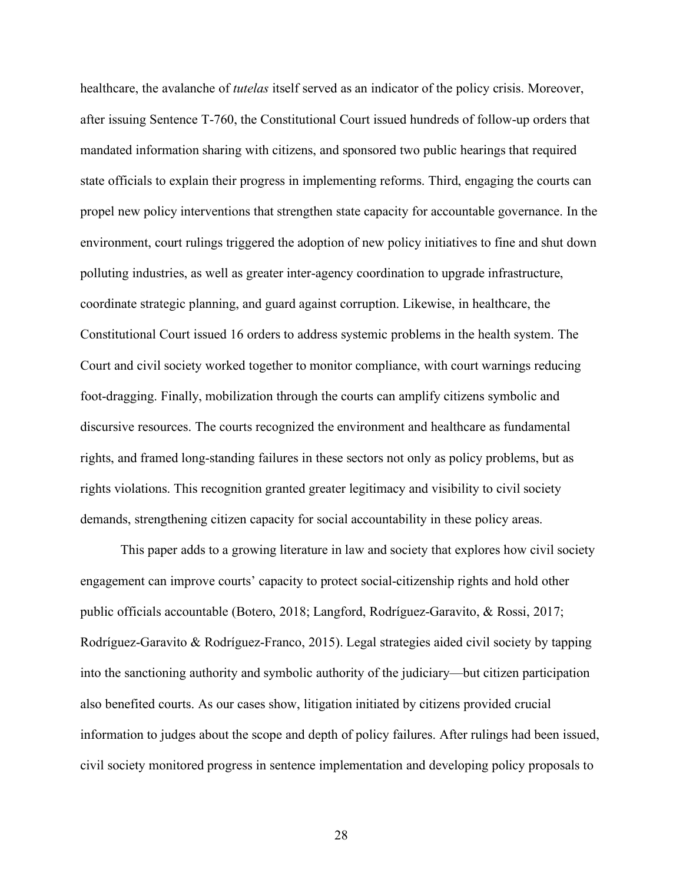healthcare, the avalanche of *tutelas* itself served as an indicator of the policy crisis. Moreover, after issuing Sentence T-760, the Constitutional Court issued hundreds of follow-up orders that mandated information sharing with citizens, and sponsored two public hearings that required state officials to explain their progress in implementing reforms. Third, engaging the courts can propel new policy interventions that strengthen state capacity for accountable governance. In the environment, court rulings triggered the adoption of new policy initiatives to fine and shut down polluting industries, as well as greater inter-agency coordination to upgrade infrastructure, coordinate strategic planning, and guard against corruption. Likewise, in healthcare, the Constitutional Court issued 16 orders to address systemic problems in the health system. The Court and civil society worked together to monitor compliance, with court warnings reducing foot-dragging. Finally, mobilization through the courts can amplify citizens symbolic and discursive resources. The courts recognized the environment and healthcare as fundamental rights, and framed long-standing failures in these sectors not only as policy problems, but as rights violations. This recognition granted greater legitimacy and visibility to civil society demands, strengthening citizen capacity for social accountability in these policy areas.

This paper adds to a growing literature in law and society that explores how civil society engagement can improve courts' capacity to protect social-citizenship rights and hold other public officials accountable (Botero, 2018; Langford, Rodríguez-Garavito, & Rossi, 2017; Rodríguez-Garavito & Rodríguez-Franco, 2015). Legal strategies aided civil society by tapping into the sanctioning authority and symbolic authority of the judiciary—but citizen participation also benefited courts. As our cases show, litigation initiated by citizens provided crucial information to judges about the scope and depth of policy failures. After rulings had been issued, civil society monitored progress in sentence implementation and developing policy proposals to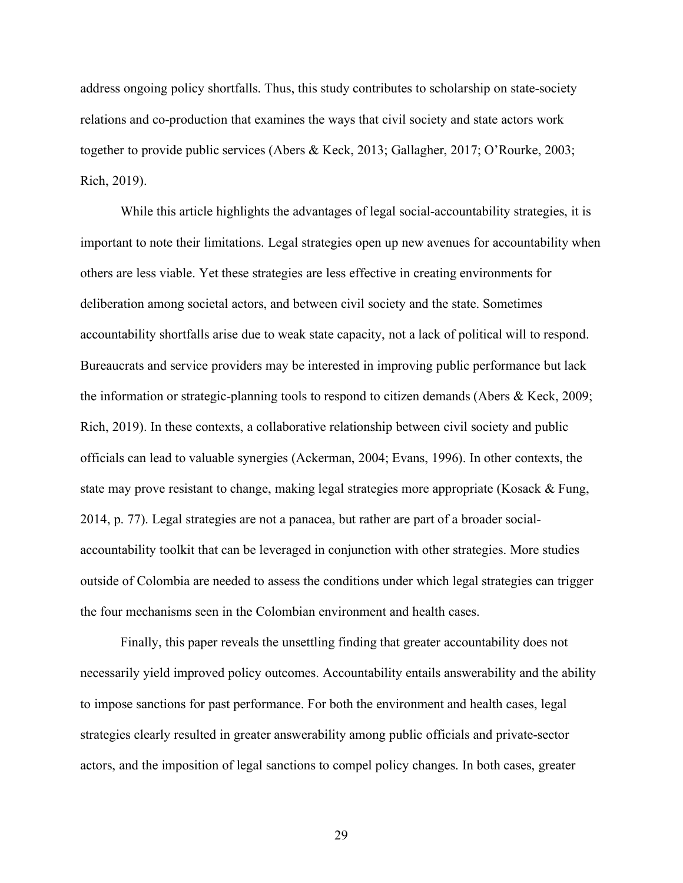address ongoing policy shortfalls. Thus, this study contributes to scholarship on state-society relations and co-production that examines the ways that civil society and state actors work together to provide public services (Abers & Keck, 2013; Gallagher, 2017; O'Rourke, 2003; Rich, 2019).

While this article highlights the advantages of legal social-accountability strategies, it is important to note their limitations. Legal strategies open up new avenues for accountability when others are less viable. Yet these strategies are less effective in creating environments for deliberation among societal actors, and between civil society and the state. Sometimes accountability shortfalls arise due to weak state capacity, not a lack of political will to respond. Bureaucrats and service providers may be interested in improving public performance but lack the information or strategic-planning tools to respond to citizen demands (Abers & Keck, 2009; Rich, 2019). In these contexts, a collaborative relationship between civil society and public officials can lead to valuable synergies (Ackerman, 2004; Evans, 1996). In other contexts, the state may prove resistant to change, making legal strategies more appropriate (Kosack & Fung, 2014, p. 77). Legal strategies are not a panacea, but rather are part of a broader socialaccountability toolkit that can be leveraged in conjunction with other strategies. More studies outside of Colombia are needed to assess the conditions under which legal strategies can trigger the four mechanisms seen in the Colombian environment and health cases.

Finally, this paper reveals the unsettling finding that greater accountability does not necessarily yield improved policy outcomes. Accountability entails answerability and the ability to impose sanctions for past performance. For both the environment and health cases, legal strategies clearly resulted in greater answerability among public officials and private-sector actors, and the imposition of legal sanctions to compel policy changes. In both cases, greater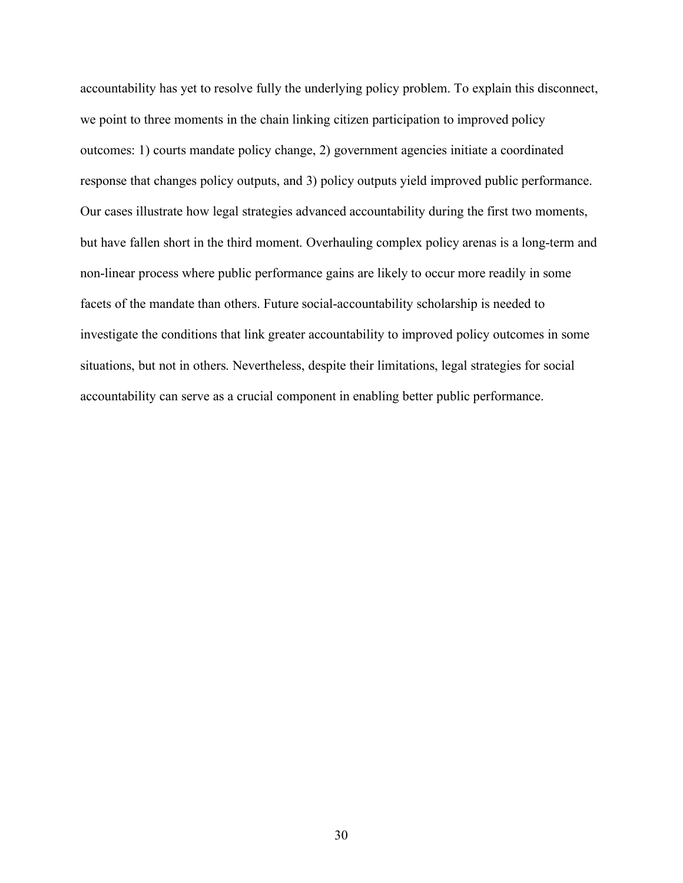accountability has yet to resolve fully the underlying policy problem. To explain this disconnect, we point to three moments in the chain linking citizen participation to improved policy outcomes: 1) courts mandate policy change, 2) government agencies initiate a coordinated response that changes policy outputs, and 3) policy outputs yield improved public performance. Our cases illustrate how legal strategies advanced accountability during the first two moments, but have fallen short in the third moment. Overhauling complex policy arenas is a long-term and non-linear process where public performance gains are likely to occur more readily in some facets of the mandate than others. Future social-accountability scholarship is needed to investigate the conditions that link greater accountability to improved policy outcomes in some situations, but not in others. Nevertheless, despite their limitations, legal strategies for social accountability can serve as a crucial component in enabling better public performance.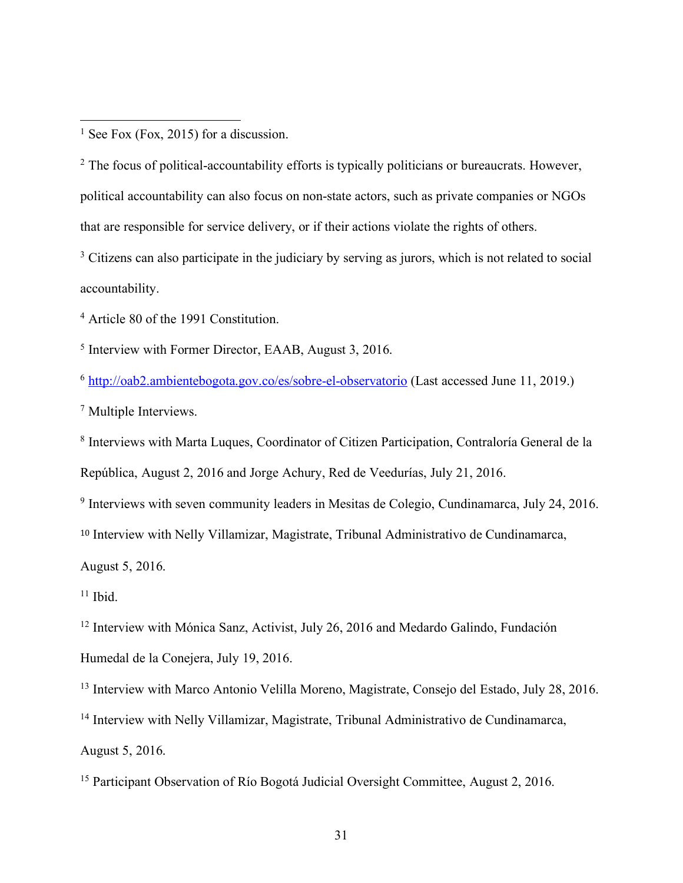$<sup>1</sup>$  See Fox (Fox, 2015) for a discussion.</sup>

 $\overline{a}$ 

<sup>2</sup> The focus of political-accountability efforts is typically politicians or bureaucrats. However, political accountability can also focus on non-state actors, such as private companies or NGOs that are responsible for service delivery, or if their actions violate the rights of others.

<sup>3</sup> Citizens can also participate in the judiciary by serving as jurors, which is not related to social accountability.

<sup>4</sup> Article 80 of the 1991 Constitution.

<sup>5</sup> Interview with Former Director, EAAB, August 3, 2016.

<sup>6</sup> http://oab2.ambientebogota.gov.co/es/sobre-el-observatorio (Last accessed June 11, 2019.)

<sup>7</sup> Multiple Interviews.

<sup>8</sup> Interviews with Marta Luques, Coordinator of Citizen Participation, Contraloría General de la República, August 2, 2016 and Jorge Achury, Red de Veedurías, July 21, 2016.

<sup>9</sup> Interviews with seven community leaders in Mesitas de Colegio, Cundinamarca, July 24, 2016.

<sup>10</sup> Interview with Nelly Villamizar, Magistrate, Tribunal Administrativo de Cundinamarca,

August 5, 2016.

 $11$  Ibid.

<sup>12</sup> Interview with Mónica Sanz, Activist, July 26, 2016 and Medardo Galindo, Fundación Humedal de la Conejera, July 19, 2016.

<sup>13</sup> Interview with Marco Antonio Velilla Moreno, Magistrate, Consejo del Estado, July 28, 2016.

<sup>14</sup> Interview with Nelly Villamizar, Magistrate, Tribunal Administrativo de Cundinamarca,

August 5, 2016.

<sup>15</sup> Participant Observation of Río Bogotá Judicial Oversight Committee, August 2, 2016.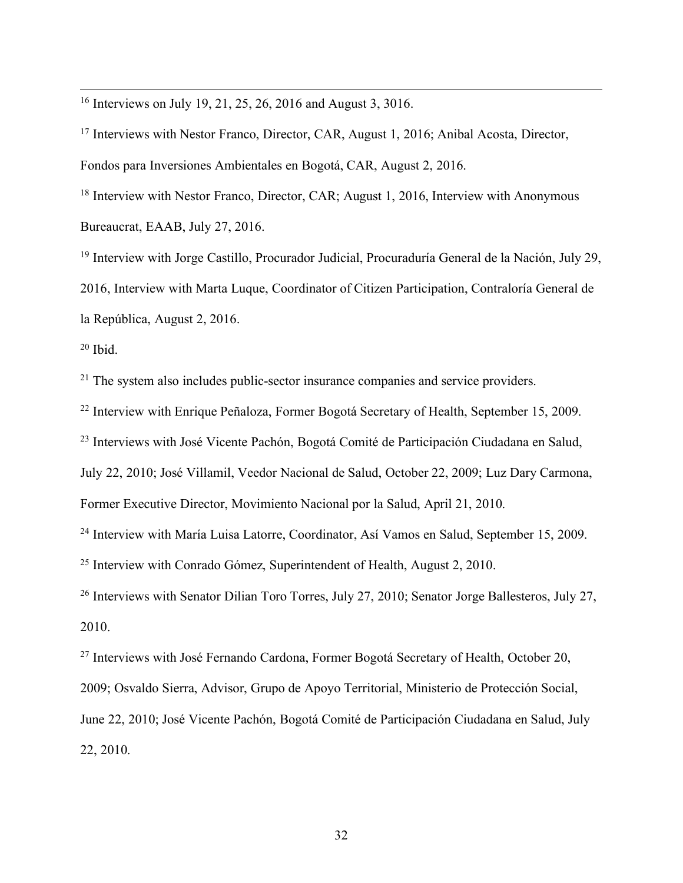16 Interviews on July 19, 21, 25, 26, 2016 and August 3, 3016.

<sup>17</sup> Interviews with Nestor Franco, Director, CAR, August 1, 2016; Anibal Acosta, Director, Fondos para Inversiones Ambientales en Bogotá, CAR, August 2, 2016.

<sup>18</sup> Interview with Nestor Franco, Director, CAR; August 1, 2016, Interview with Anonymous Bureaucrat, EAAB, July 27, 2016.

<sup>19</sup> Interview with Jorge Castillo, Procurador Judicial, Procuraduría General de la Nación, July 29, 2016, Interview with Marta Luque, Coordinator of Citizen Participation, Contraloría General de la República, August 2, 2016.

 $20$  Ibid.

<sup>21</sup> The system also includes public-sector insurance companies and service providers.

<sup>22</sup> Interview with Enrique Peñaloza, Former Bogotá Secretary of Health, September 15, 2009.

<sup>23</sup> Interviews with José Vicente Pachón, Bogotá Comité de Participación Ciudadana en Salud,

July 22, 2010; José Villamil, Veedor Nacional de Salud, October 22, 2009; Luz Dary Carmona,

Former Executive Director, Movimiento Nacional por la Salud, April 21, 2010.

<sup>24</sup> Interview with María Luisa Latorre, Coordinator, Así Vamos en Salud, September 15, 2009.

<sup>25</sup> Interview with Conrado Gómez, Superintendent of Health, August 2, 2010.

<sup>26</sup> Interviews with Senator Dilian Toro Torres, July 27, 2010; Senator Jorge Ballesteros, July 27, 2010.

<sup>27</sup> Interviews with José Fernando Cardona, Former Bogotá Secretary of Health, October 20,

2009; Osvaldo Sierra, Advisor, Grupo de Apoyo Territorial, Ministerio de Protección Social,

June 22, 2010; José Vicente Pachón, Bogotá Comité de Participación Ciudadana en Salud, July 22, 2010.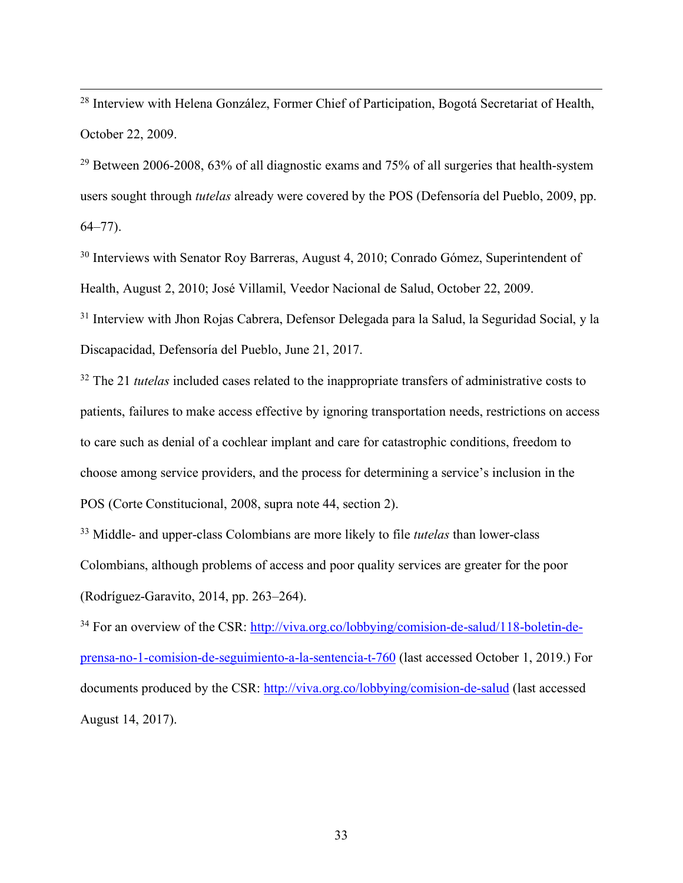<sup>28</sup> Interview with Helena González, Former Chief of Participation, Bogotá Secretariat of Health, October 22, 2009.

 $29$  Between 2006-2008, 63% of all diagnostic exams and 75% of all surgeries that health-system users sought through *tutelas* already were covered by the POS (Defensoría del Pueblo, 2009, pp. 64–77).

<sup>30</sup> Interviews with Senator Roy Barreras, August 4, 2010; Conrado Gómez, Superintendent of Health, August 2, 2010; José Villamil, Veedor Nacional de Salud, October 22, 2009.

<sup>31</sup> Interview with Jhon Rojas Cabrera, Defensor Delegada para la Salud, la Seguridad Social, y la Discapacidad, Defensoría del Pueblo, June 21, 2017.

<sup>32</sup> The 21 *tutelas* included cases related to the inappropriate transfers of administrative costs to patients, failures to make access effective by ignoring transportation needs, restrictions on access to care such as denial of a cochlear implant and care for catastrophic conditions, freedom to choose among service providers, and the process for determining a service's inclusion in the POS (Corte Constitucional, 2008, supra note 44, section 2).

<sup>33</sup> Middle- and upper-class Colombians are more likely to file *tutelas* than lower-class Colombians, although problems of access and poor quality services are greater for the poor (Rodríguez-Garavito, 2014, pp. 263–264).

<sup>34</sup> For an overview of the CSR: http://viva.org.co/lobbying/comision-de-salud/118-boletin-deprensa-no-1-comision-de-seguimiento-a-la-sentencia-t-760 (last accessed October 1, 2019.) For documents produced by the CSR: http://viva.org.co/lobbying/comision-de-salud (last accessed August 14, 2017).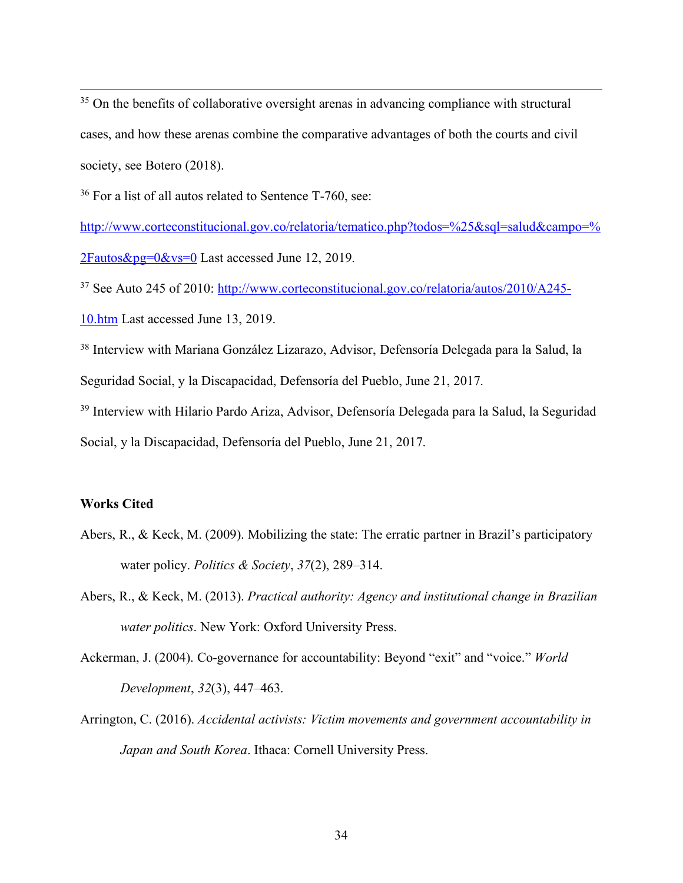$35$  On the benefits of collaborative oversight arenas in advancing compliance with structural cases, and how these arenas combine the comparative advantages of both the courts and civil society, see Botero (2018).

<sup>36</sup> For a list of all autos related to Sentence T-760, see:

http://www.corteconstitucional.gov.co/relatoria/tematico.php?todos=%25&sql=salud&campo=% 2Fautos&pg=0&vs=0 Last accessed June 12, 2019.

<sup>37</sup> See Auto 245 of 2010: http://www.corteconstitucional.gov.co/relatoria/autos/2010/A245-

10.htm Last accessed June 13, 2019.

<sup>38</sup> Interview with Mariana González Lizarazo, Advisor, Defensoría Delegada para la Salud, la Seguridad Social, y la Discapacidad, Defensoría del Pueblo, June 21, 2017.

<sup>39</sup> Interview with Hilario Pardo Ariza, Advisor, Defensoría Delegada para la Salud, la Seguridad Social, y la Discapacidad, Defensoría del Pueblo, June 21, 2017.

# **Works Cited**

- Abers, R., & Keck, M. (2009). Mobilizing the state: The erratic partner in Brazil's participatory water policy. *Politics & Society*, *37*(2), 289–314.
- Abers, R., & Keck, M. (2013). *Practical authority: Agency and institutional change in Brazilian water politics*. New York: Oxford University Press.
- Ackerman, J. (2004). Co-governance for accountability: Beyond "exit" and "voice." *World Development*, *32*(3), 447–463.
- Arrington, C. (2016). *Accidental activists: Victim movements and government accountability in Japan and South Korea*. Ithaca: Cornell University Press.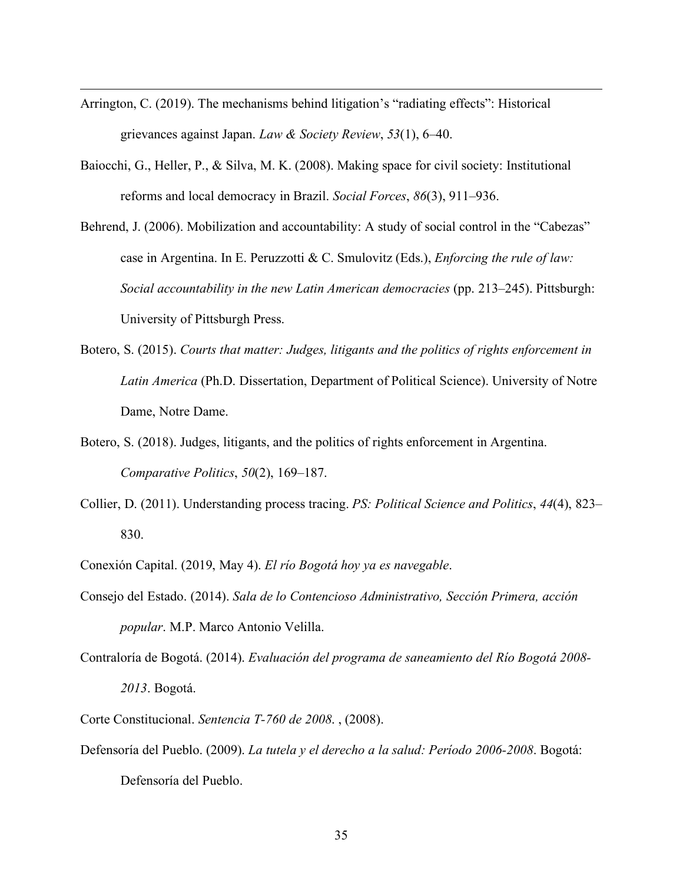Arrington, C. (2019). The mechanisms behind litigation's "radiating effects": Historical grievances against Japan. *Law & Society Review*, *53*(1), 6–40.

- Baiocchi, G., Heller, P., & Silva, M. K. (2008). Making space for civil society: Institutional reforms and local democracy in Brazil. *Social Forces*, *86*(3), 911–936.
- Behrend, J. (2006). Mobilization and accountability: A study of social control in the "Cabezas" case in Argentina. In E. Peruzzotti & C. Smulovitz (Eds.), *Enforcing the rule of law: Social accountability in the new Latin American democracies* (pp. 213–245). Pittsburgh: University of Pittsburgh Press.
- Botero, S. (2015). *Courts that matter: Judges, litigants and the politics of rights enforcement in Latin America* (Ph.D. Dissertation, Department of Political Science). University of Notre Dame, Notre Dame.
- Botero, S. (2018). Judges, litigants, and the politics of rights enforcement in Argentina. *Comparative Politics*, *50*(2), 169–187.
- Collier, D. (2011). Understanding process tracing. *PS: Political Science and Politics*, *44*(4), 823– 830.
- Conexión Capital. (2019, May 4). *El río Bogotá hoy ya es navegable*.
- Consejo del Estado. (2014). *Sala de lo Contencioso Administrativo, Sección Primera, acción popular*. M.P. Marco Antonio Velilla.
- Contraloría de Bogotá. (2014). *Evaluación del programa de saneamiento del Río Bogotá 2008- 2013*. Bogotá.
- Corte Constitucional. *Sentencia T-760 de 2008*. , (2008).
- Defensoría del Pueblo. (2009). *La tutela y el derecho a la salud: Período 2006-2008*. Bogotá: Defensoría del Pueblo.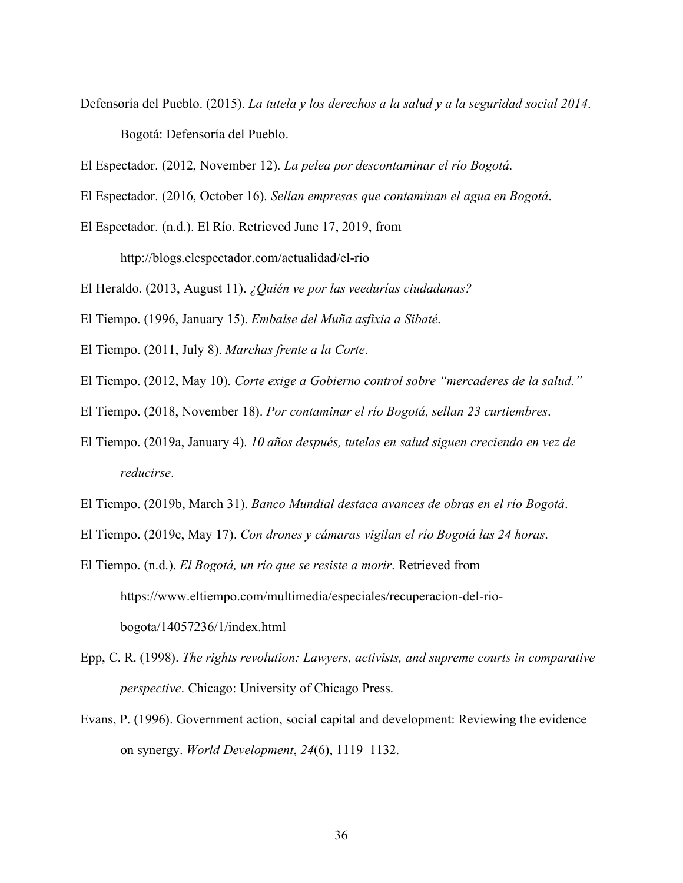- Defensoría del Pueblo. (2015). *La tutela y los derechos a la salud y a la seguridad social 2014*. Bogotá: Defensoría del Pueblo.
- El Espectador. (2012, November 12). *La pelea por descontaminar el río Bogotá*.
- El Espectador. (2016, October 16). *Sellan empresas que contaminan el agua en Bogotá*.
- El Espectador. (n.d.). El Río. Retrieved June 17, 2019, from

 $\overline{a}$ 

http://blogs.elespectador.com/actualidad/el-rio

- El Heraldo. (2013, August 11). *¿Quién ve por las veedurías ciudadanas?*
- El Tiempo. (1996, January 15). *Embalse del Muña asfixia a Sibaté*.
- El Tiempo. (2011, July 8). *Marchas frente a la Corte*.
- El Tiempo. (2012, May 10). *Corte exige a Gobierno control sobre "mercaderes de la salud."*
- El Tiempo. (2018, November 18). *Por contaminar el río Bogotá, sellan 23 curtiembres*.
- El Tiempo. (2019a, January 4). *10 años después, tutelas en salud siguen creciendo en vez de reducirse*.
- El Tiempo. (2019b, March 31). *Banco Mundial destaca avances de obras en el río Bogotá*.
- El Tiempo. (2019c, May 17). *Con drones y cámaras vigilan el río Bogotá las 24 horas*.
- El Tiempo. (n.d.). *El Bogotá, un río que se resiste a morir*. Retrieved from https://www.eltiempo.com/multimedia/especiales/recuperacion-del-riobogota/14057236/1/index.html
- Epp, C. R. (1998). *The rights revolution: Lawyers, activists, and supreme courts in comparative perspective*. Chicago: University of Chicago Press.
- Evans, P. (1996). Government action, social capital and development: Reviewing the evidence on synergy. *World Development*, *24*(6), 1119–1132.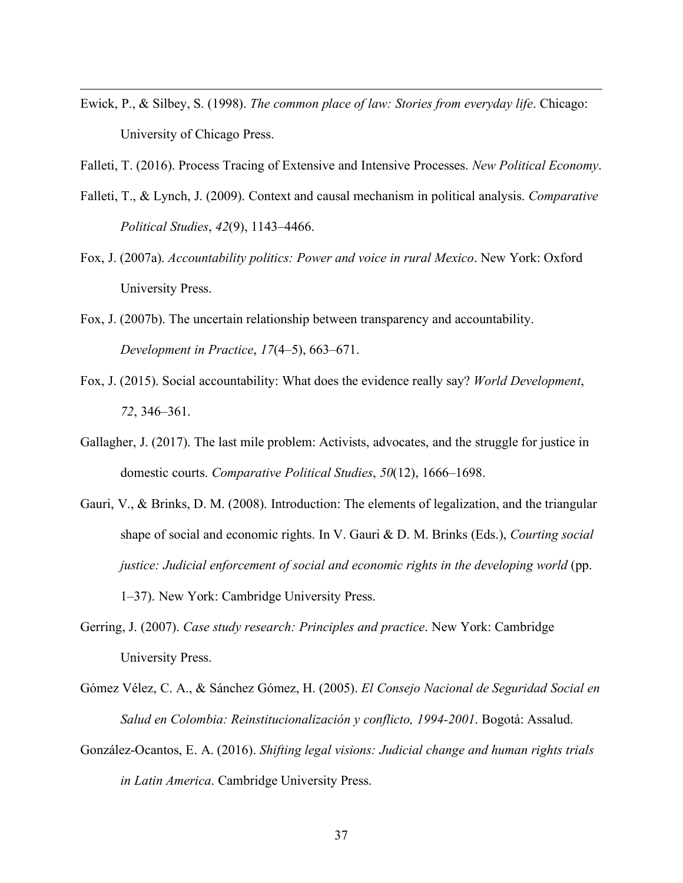Ewick, P., & Silbey, S. (1998). *The common place of law: Stories from everyday life*. Chicago: University of Chicago Press.

- Falleti, T. (2016). Process Tracing of Extensive and Intensive Processes. *New Political Economy*.
- Falleti, T., & Lynch, J. (2009). Context and causal mechanism in political analysis. *Comparative Political Studies*, *42*(9), 1143–4466.
- Fox, J. (2007a). *Accountability politics: Power and voice in rural Mexico*. New York: Oxford University Press.
- Fox, J. (2007b). The uncertain relationship between transparency and accountability. *Development in Practice*, *17*(4–5), 663–671.
- Fox, J. (2015). Social accountability: What does the evidence really say? *World Development*, *72*, 346–361.
- Gallagher, J. (2017). The last mile problem: Activists, advocates, and the struggle for justice in domestic courts. *Comparative Political Studies*, *50*(12), 1666–1698.
- Gauri, V., & Brinks, D. M. (2008). Introduction: The elements of legalization, and the triangular shape of social and economic rights. In V. Gauri & D. M. Brinks (Eds.), *Courting social justice: Judicial enforcement of social and economic rights in the developing world* (pp. 1–37). New York: Cambridge University Press.
- Gerring, J. (2007). *Case study research: Principles and practice*. New York: Cambridge University Press.
- Gómez Vélez, C. A., & Sánchez Gómez, H. (2005). *El Consejo Nacional de Seguridad Social en Salud en Colombia: Reinstitucionalización y conflicto, 1994-2001*. Bogotá: Assalud.
- González-Ocantos, E. A. (2016). *Shifting legal visions: Judicial change and human rights trials in Latin America*. Cambridge University Press.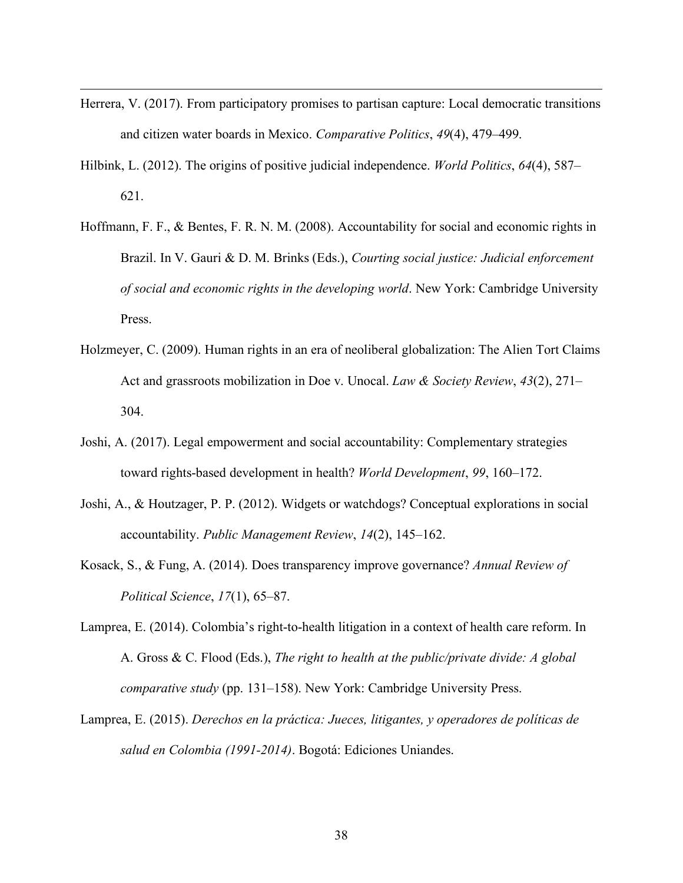Herrera, V. (2017). From participatory promises to partisan capture: Local democratic transitions and citizen water boards in Mexico. *Comparative Politics*, *49*(4), 479–499.

- Hilbink, L. (2012). The origins of positive judicial independence. *World Politics*, *64*(4), 587– 621.
- Hoffmann, F. F., & Bentes, F. R. N. M. (2008). Accountability for social and economic rights in Brazil. In V. Gauri & D. M. Brinks (Eds.), *Courting social justice: Judicial enforcement of social and economic rights in the developing world*. New York: Cambridge University Press.
- Holzmeyer, C. (2009). Human rights in an era of neoliberal globalization: The Alien Tort Claims Act and grassroots mobilization in Doe v. Unocal. *Law & Society Review*, *43*(2), 271– 304.
- Joshi, A. (2017). Legal empowerment and social accountability: Complementary strategies toward rights-based development in health? *World Development*, *99*, 160–172.
- Joshi, A., & Houtzager, P. P. (2012). Widgets or watchdogs? Conceptual explorations in social accountability. *Public Management Review*, *14*(2), 145–162.
- Kosack, S., & Fung, A. (2014). Does transparency improve governance? *Annual Review of Political Science*, *17*(1), 65–87.
- Lamprea, E. (2014). Colombia's right-to-health litigation in a context of health care reform. In A. Gross & C. Flood (Eds.), *The right to health at the public/private divide: A global comparative study* (pp. 131–158). New York: Cambridge University Press.
- Lamprea, E. (2015). *Derechos en la práctica: Jueces, litigantes, y operadores de políticas de salud en Colombia (1991-2014)*. Bogotá: Ediciones Uniandes.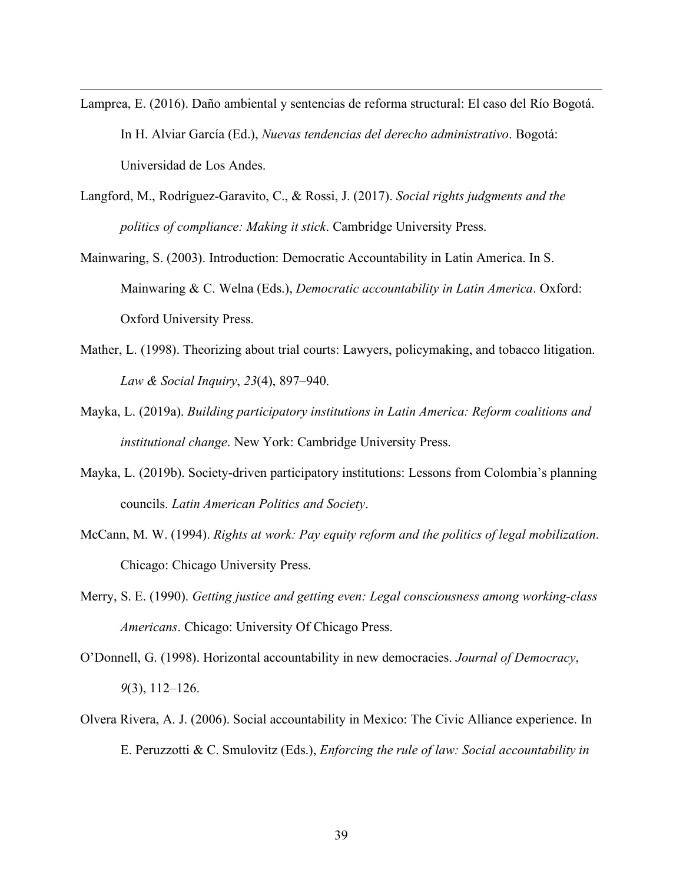Lamprea, E. (2016). Daño ambiental y sentencias de reforma structural: El caso del Río Bogotá. In H. Alviar García (Ed.), *Nuevas tendencias del derecho administrativo*. Bogotá: Universidad de Los Andes.

- Langford, M., Rodríguez-Garavito, C., & Rossi, J. (2017). *Social rights judgments and the politics of compliance: Making it stick*. Cambridge University Press.
- Mainwaring, S. (2003). Introduction: Democratic Accountability in Latin America. In S. Mainwaring & C. Welna (Eds.), *Democratic accountability in Latin America*. Oxford: Oxford University Press.
- Mather, L. (1998). Theorizing about trial courts: Lawyers, policymaking, and tobacco litigation. *Law & Social Inquiry*, *23*(4), 897–940.
- Mayka, L. (2019a). *Building participatory institutions in Latin America: Reform coalitions and institutional change*. New York: Cambridge University Press.
- Mayka, L. (2019b). Society-driven participatory institutions: Lessons from Colombia's planning councils. *Latin American Politics and Society*.
- McCann, M. W. (1994). *Rights at work: Pay equity reform and the politics of legal mobilization*. Chicago: Chicago University Press.
- Merry, S. E. (1990). *Getting justice and getting even: Legal consciousness among working-class Americans*. Chicago: University Of Chicago Press.
- O'Donnell, G. (1998). Horizontal accountability in new democracies. *Journal of Democracy*, *9*(3), 112–126.
- Olvera Rivera, A. J. (2006). Social accountability in Mexico: The Civic Alliance experience. In E. Peruzzotti & C. Smulovitz (Eds.), *Enforcing the rule of law: Social accountability in*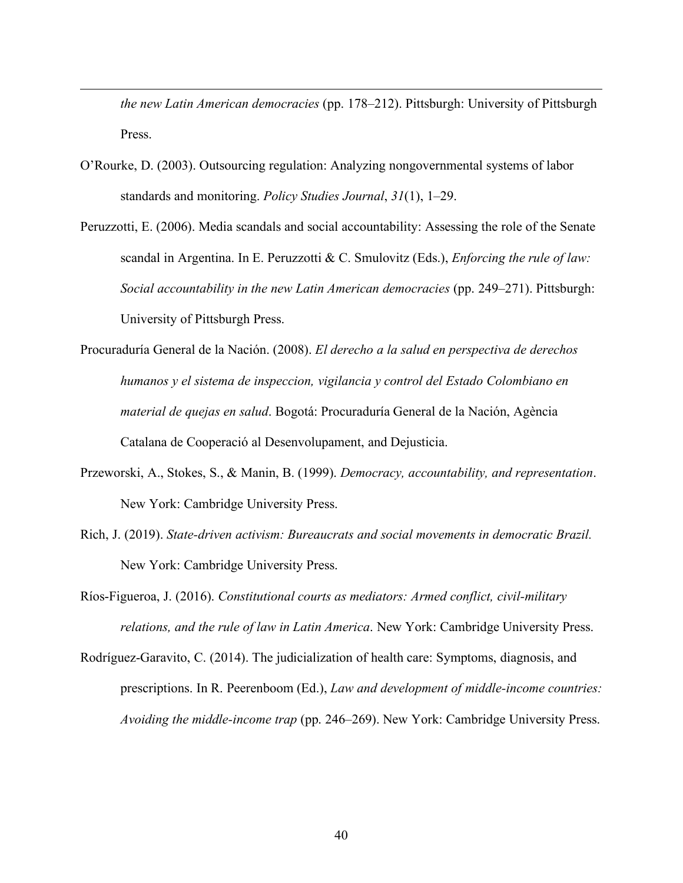*the new Latin American democracies* (pp. 178–212). Pittsburgh: University of Pittsburgh Press.

O'Rourke, D. (2003). Outsourcing regulation: Analyzing nongovernmental systems of labor standards and monitoring. *Policy Studies Journal*, *31*(1), 1–29.

- Peruzzotti, E. (2006). Media scandals and social accountability: Assessing the role of the Senate scandal in Argentina. In E. Peruzzotti & C. Smulovitz (Eds.), *Enforcing the rule of law: Social accountability in the new Latin American democracies* (pp. 249–271). Pittsburgh: University of Pittsburgh Press.
- Procuraduría General de la Nación. (2008). *El derecho a la salud en perspectiva de derechos humanos y el sistema de inspeccion, vigilancia y control del Estado Colombiano en material de quejas en salud*. Bogotá: Procuraduría General de la Nación, Agència Catalana de Cooperació al Desenvolupament, and Dejusticia.
- Przeworski, A., Stokes, S., & Manin, B. (1999). *Democracy, accountability, and representation*. New York: Cambridge University Press.
- Rich, J. (2019). *State-driven activism: Bureaucrats and social movements in democratic Brazil.* New York: Cambridge University Press.
- Ríos-Figueroa, J. (2016). *Constitutional courts as mediators: Armed conflict, civil-military relations, and the rule of law in Latin America*. New York: Cambridge University Press.
- Rodríguez-Garavito, C. (2014). The judicialization of health care: Symptoms, diagnosis, and prescriptions. In R. Peerenboom (Ed.), *Law and development of middle-income countries: Avoiding the middle-income trap* (pp. 246–269). New York: Cambridge University Press.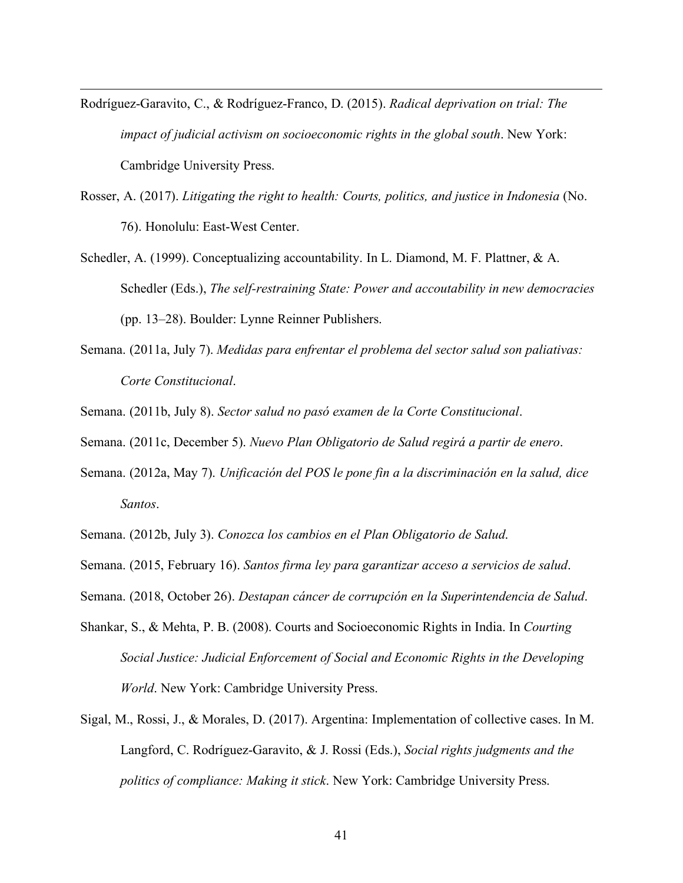Rodríguez-Garavito, C., & Rodríguez-Franco, D. (2015). *Radical deprivation on trial: The impact of judicial activism on socioeconomic rights in the global south*. New York: Cambridge University Press.

 $\overline{a}$ 

- Rosser, A. (2017). *Litigating the right to health: Courts, politics, and justice in Indonesia* (No. 76). Honolulu: East-West Center.
- Schedler, A. (1999). Conceptualizing accountability. In L. Diamond, M. F. Plattner, & A. Schedler (Eds.), *The self-restraining State: Power and accoutability in new democracies* (pp. 13–28). Boulder: Lynne Reinner Publishers.
- Semana. (2011a, July 7). *Medidas para enfrentar el problema del sector salud son paliativas: Corte Constitucional*.

Semana. (2011b, July 8). *Sector salud no pasó examen de la Corte Constitucional*.

Semana. (2011c, December 5). *Nuevo Plan Obligatorio de Salud regirá a partir de enero*.

- Semana. (2012a, May 7). *Unificación del POS le pone fin a la discriminación en la salud, dice Santos*.
- Semana. (2012b, July 3). *Conozca los cambios en el Plan Obligatorio de Salud*.
- Semana. (2015, February 16). *Santos firma ley para garantizar acceso a servicios de salud*.
- Semana. (2018, October 26). *Destapan cáncer de corrupción en la Superintendencia de Salud*.
- Shankar, S., & Mehta, P. B. (2008). Courts and Socioeconomic Rights in India. In *Courting Social Justice: Judicial Enforcement of Social and Economic Rights in the Developing World*. New York: Cambridge University Press.
- Sigal, M., Rossi, J., & Morales, D. (2017). Argentina: Implementation of collective cases. In M. Langford, C. Rodríguez-Garavito, & J. Rossi (Eds.), *Social rights judgments and the politics of compliance: Making it stick*. New York: Cambridge University Press.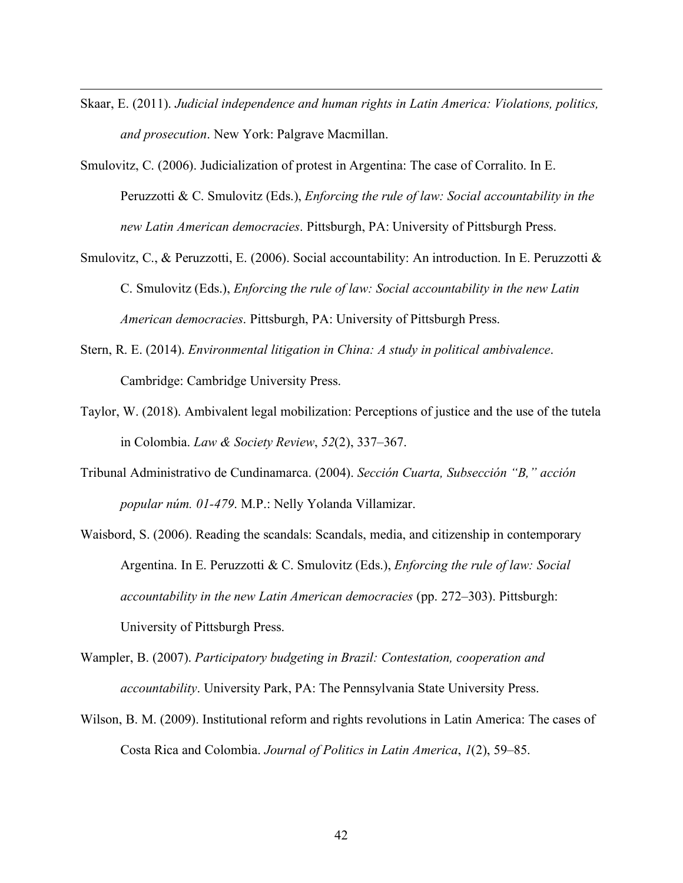Skaar, E. (2011). *Judicial independence and human rights in Latin America: Violations, politics, and prosecution*. New York: Palgrave Macmillan.

- Smulovitz, C. (2006). Judicialization of protest in Argentina: The case of Corralito. In E. Peruzzotti & C. Smulovitz (Eds.), *Enforcing the rule of law: Social accountability in the new Latin American democracies*. Pittsburgh, PA: University of Pittsburgh Press.
- Smulovitz, C., & Peruzzotti, E. (2006). Social accountability: An introduction. In E. Peruzzotti & C. Smulovitz (Eds.), *Enforcing the rule of law: Social accountability in the new Latin American democracies*. Pittsburgh, PA: University of Pittsburgh Press.
- Stern, R. E. (2014). *Environmental litigation in China: A study in political ambivalence*. Cambridge: Cambridge University Press.
- Taylor, W. (2018). Ambivalent legal mobilization: Perceptions of justice and the use of the tutela in Colombia. *Law & Society Review*, *52*(2), 337–367.
- Tribunal Administrativo de Cundinamarca. (2004). *Sección Cuarta, Subsección "B," acción popular núm. 01-479*. M.P.: Nelly Yolanda Villamizar.
- Waisbord, S. (2006). Reading the scandals: Scandals, media, and citizenship in contemporary Argentina. In E. Peruzzotti & C. Smulovitz (Eds.), *Enforcing the rule of law: Social accountability in the new Latin American democracies* (pp. 272–303). Pittsburgh: University of Pittsburgh Press.
- Wampler, B. (2007). *Participatory budgeting in Brazil: Contestation, cooperation and accountability*. University Park, PA: The Pennsylvania State University Press.
- Wilson, B. M. (2009). Institutional reform and rights revolutions in Latin America: The cases of Costa Rica and Colombia. *Journal of Politics in Latin America*, *1*(2), 59–85.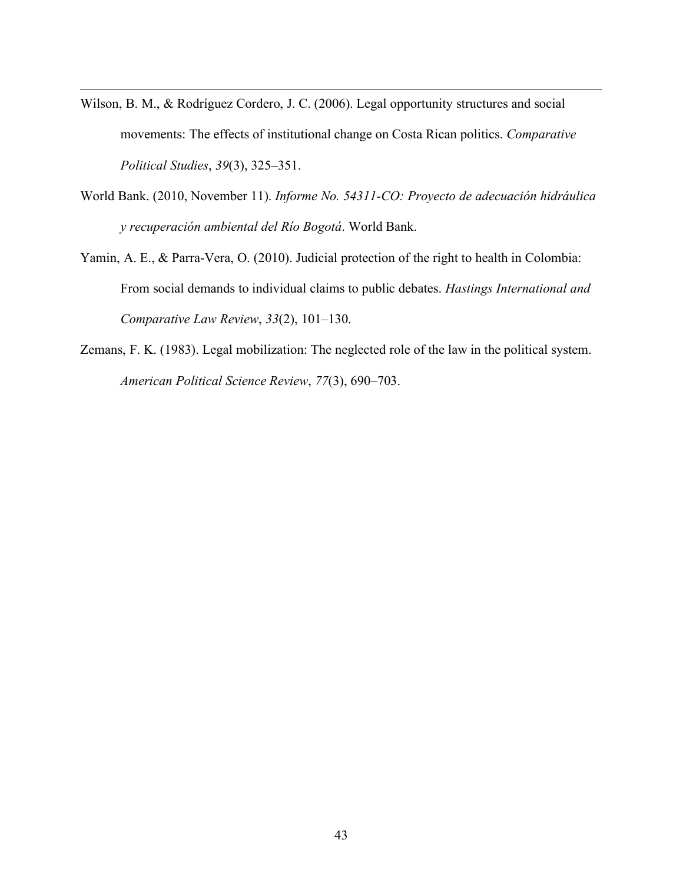Wilson, B. M., & Rodríguez Cordero, J. C. (2006). Legal opportunity structures and social movements: The effects of institutional change on Costa Rican politics. *Comparative Political Studies*, *39*(3), 325–351.

- World Bank. (2010, November 11). *Informe No. 54311-CO: Proyecto de adecuación hidráulica y recuperación ambiental del Río Bogotá*. World Bank.
- Yamin, A. E., & Parra-Vera, O. (2010). Judicial protection of the right to health in Colombia: From social demands to individual claims to public debates. *Hastings International and Comparative Law Review*, *33*(2), 101–130.
- Zemans, F. K. (1983). Legal mobilization: The neglected role of the law in the political system. *American Political Science Review*, *77*(3), 690–703.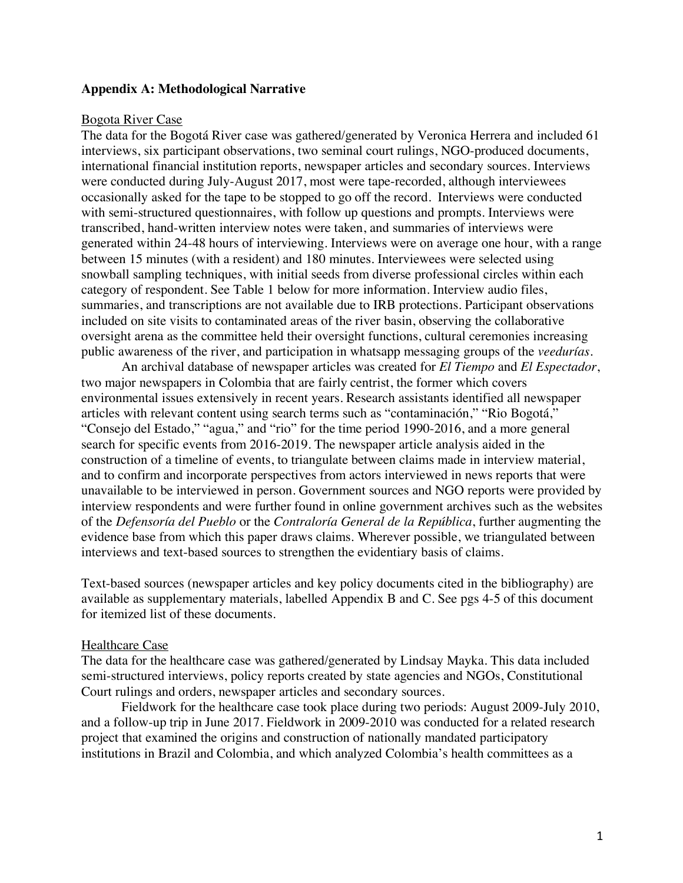## **Appendix A: Methodological Narrative**

#### Bogota River Case

The data for the Bogotá River case was gathered/generated by Veronica Herrera and included 61 interviews, six participant observations, two seminal court rulings, NGO-produced documents, international financial institution reports, newspaper articles and secondary sources. Interviews were conducted during July-August 2017, most were tape-recorded, although interviewees occasionally asked for the tape to be stopped to go off the record. Interviews were conducted with semi-structured questionnaires, with follow up questions and prompts. Interviews were transcribed, hand-written interview notes were taken, and summaries of interviews were generated within 24-48 hours of interviewing. Interviews were on average one hour, with a range between 15 minutes (with a resident) and 180 minutes. Interviewees were selected using snowball sampling techniques, with initial seeds from diverse professional circles within each category of respondent. See Table 1 below for more information. Interview audio files, summaries, and transcriptions are not available due to IRB protections. Participant observations included on site visits to contaminated areas of the river basin, observing the collaborative oversight arena as the committee held their oversight functions, cultural ceremonies increasing public awareness of the river, and participation in whatsapp messaging groups of the *veedurías.*

An archival database of newspaper articles was created for *El Tiempo* and *El Espectador*, two major newspapers in Colombia that are fairly centrist, the former which covers environmental issues extensively in recent years. Research assistants identified all newspaper articles with relevant content using search terms such as "contaminación," "Rio Bogotá," "Consejo del Estado," "agua," and "rio" for the time period 1990-2016, and a more general search for specific events from 2016-2019. The newspaper article analysis aided in the construction of a timeline of events, to triangulate between claims made in interview material, and to confirm and incorporate perspectives from actors interviewed in news reports that were unavailable to be interviewed in person. Government sources and NGO reports were provided by interview respondents and were further found in online government archives such as the websites of the *Defensoría del Pueblo* or the *Contraloría General de la República*, further augmenting the evidence base from which this paper draws claims. Wherever possible, we triangulated between interviews and text-based sources to strengthen the evidentiary basis of claims.

Text-based sources (newspaper articles and key policy documents cited in the bibliography) are available as supplementary materials, labelled Appendix B and C. See pgs 4-5 of this document for itemized list of these documents.

## Healthcare Case

The data for the healthcare case was gathered/generated by Lindsay Mayka. This data included semi-structured interviews, policy reports created by state agencies and NGOs, Constitutional Court rulings and orders, newspaper articles and secondary sources.

Fieldwork for the healthcare case took place during two periods: August 2009-July 2010, and a follow-up trip in June 2017. Fieldwork in 2009-2010 was conducted for a related research project that examined the origins and construction of nationally mandated participatory institutions in Brazil and Colombia, and which analyzed Colombia's health committees as a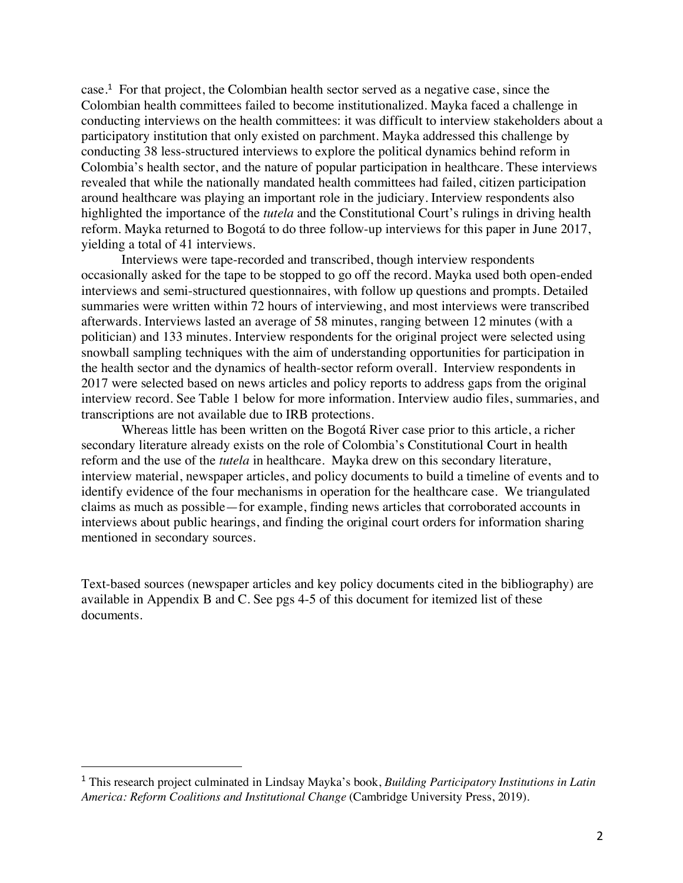case.<sup>1</sup> For that project, the Colombian health sector served as a negative case, since the Colombian health committees failed to become institutionalized. Mayka faced a challenge in conducting interviews on the health committees: it was difficult to interview stakeholders about a participatory institution that only existed on parchment. Mayka addressed this challenge by conducting 38 less-structured interviews to explore the political dynamics behind reform in Colombia's health sector, and the nature of popular participation in healthcare. These interviews revealed that while the nationally mandated health committees had failed, citizen participation around healthcare was playing an important role in the judiciary. Interview respondents also highlighted the importance of the *tutela* and the Constitutional Court's rulings in driving health reform. Mayka returned to Bogotá to do three follow-up interviews for this paper in June 2017, yielding a total of 41 interviews.

Interviews were tape-recorded and transcribed, though interview respondents occasionally asked for the tape to be stopped to go off the record. Mayka used both open-ended interviews and semi-structured questionnaires, with follow up questions and prompts. Detailed summaries were written within 72 hours of interviewing, and most interviews were transcribed afterwards. Interviews lasted an average of 58 minutes, ranging between 12 minutes (with a politician) and 133 minutes. Interview respondents for the original project were selected using snowball sampling techniques with the aim of understanding opportunities for participation in the health sector and the dynamics of health-sector reform overall. Interview respondents in 2017 were selected based on news articles and policy reports to address gaps from the original interview record. See Table 1 below for more information. Interview audio files, summaries, and transcriptions are not available due to IRB protections.

Whereas little has been written on the Bogotá River case prior to this article, a richer secondary literature already exists on the role of Colombia's Constitutional Court in health reform and the use of the *tutela* in healthcare. Mayka drew on this secondary literature, interview material, newspaper articles, and policy documents to build a timeline of events and to identify evidence of the four mechanisms in operation for the healthcare case. We triangulated claims as much as possible—for example, finding news articles that corroborated accounts in interviews about public hearings, and finding the original court orders for information sharing mentioned in secondary sources.

Text-based sources (newspaper articles and key policy documents cited in the bibliography) are available in Appendix B and C. See pgs 4-5 of this document for itemized list of these documents.

 <sup>1</sup> This research project culminated in Lindsay Mayka's book, *Building Participatory Institutions in Latin America: Reform Coalitions and Institutional Change* (Cambridge University Press, 2019).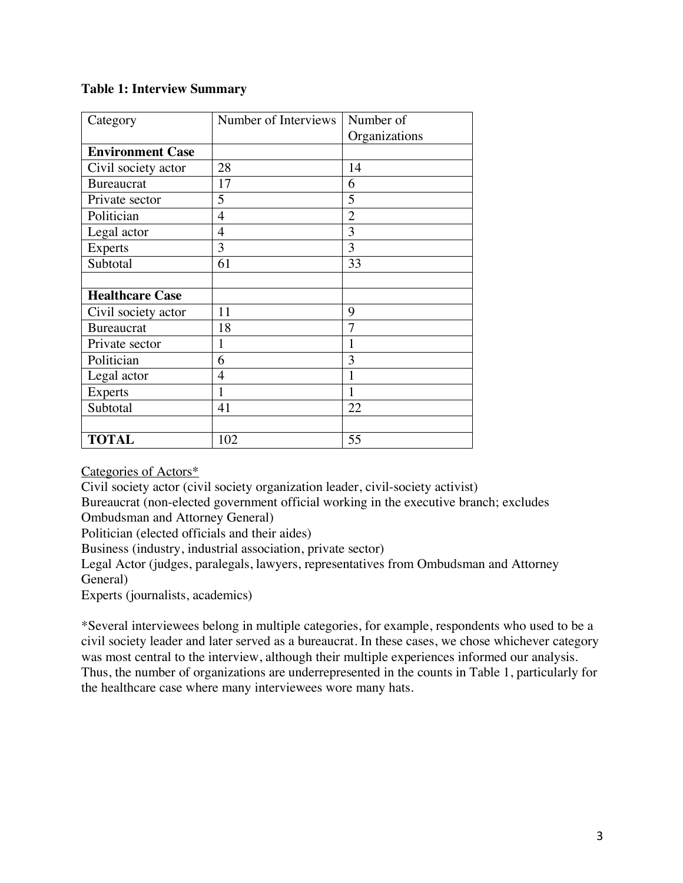# **Table 1: Interview Summary**

| Category                | Number of Interviews | Number of      |
|-------------------------|----------------------|----------------|
|                         |                      | Organizations  |
| <b>Environment Case</b> |                      |                |
| Civil society actor     | 28                   | 14             |
| <b>Bureaucrat</b>       | 17                   | 6              |
| Private sector          | 5                    | 5              |
| Politician              | $\overline{4}$       | $\overline{2}$ |
| Legal actor             | 4                    | 3              |
| <b>Experts</b>          | 3                    | 3              |
| Subtotal                | 61                   | 33             |
|                         |                      |                |
| <b>Healthcare Case</b>  |                      |                |
| Civil society actor     | 11                   | 9              |
| <b>Bureaucrat</b>       | 18                   | 7              |
| Private sector          | 1                    | 1              |
| Politician              | 6                    | 3              |
| Legal actor             | 4                    | 1              |
| <b>Experts</b>          | 1                    | 1              |
| Subtotal                | 41                   | 22             |
|                         |                      |                |
| <b>TOTAL</b>            | 102                  | 55             |

Categories of Actors\*

Civil society actor (civil society organization leader, civil-society activist)

Bureaucrat (non-elected government official working in the executive branch; excludes Ombudsman and Attorney General)

Politician (elected officials and their aides)

Business (industry, industrial association, private sector)

Legal Actor (judges, paralegals, lawyers, representatives from Ombudsman and Attorney General)

Experts (journalists, academics)

\*Several interviewees belong in multiple categories, for example, respondents who used to be a civil society leader and later served as a bureaucrat. In these cases, we chose whichever category was most central to the interview, although their multiple experiences informed our analysis. Thus, the number of organizations are underrepresented in the counts in Table 1, particularly for the healthcare case where many interviewees wore many hats.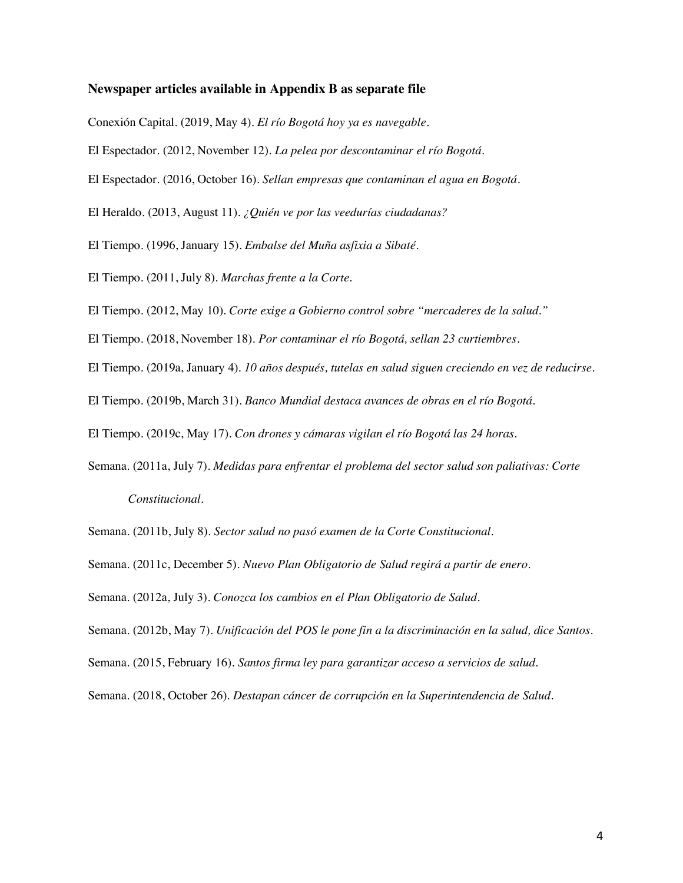## **Newspaper articles available in Appendix B as separate file**

Conexión Capital. (2019, May 4). *El río Bogotá hoy ya es navegable*.

El Espectador. (2012, November 12). *La pelea por descontaminar el río Bogotá*.

El Espectador. (2016, October 16). *Sellan empresas que contaminan el agua en Bogotá*.

El Heraldo. (2013, August 11). *¿Quién ve por las veedurías ciudadanas?*

El Tiempo. (1996, January 15). *Embalse del Muña asfixia a Sibaté*.

El Tiempo. (2011, July 8). *Marchas frente a la Corte*.

El Tiempo. (2012, May 10). *Corte exige a Gobierno control sobre "mercaderes de la salud."*

El Tiempo. (2018, November 18). *Por contaminar el río Bogotá, sellan 23 curtiembres*.

El Tiempo. (2019a, January 4). *10 años después, tutelas en salud siguen creciendo en vez de reducirse*.

El Tiempo. (2019b, March 31). *Banco Mundial destaca avances de obras en el río Bogotá*.

El Tiempo. (2019c, May 17). *Con drones y cámaras vigilan el río Bogotá las 24 horas*.

Semana. (2011a, July 7). *Medidas para enfrentar el problema del sector salud son paliativas: Corte Constitucional*.

Semana. (2011b, July 8). *Sector salud no pasó examen de la Corte Constitucional*.

Semana. (2011c, December 5). *Nuevo Plan Obligatorio de Salud regirá a partir de enero*.

Semana. (2012a, July 3). *Conozca los cambios en el Plan Obligatorio de Salud*.

Semana. (2012b, May 7). *Unificación del POS le pone fin a la discriminación en la salud, dice Santos*.

Semana. (2015, February 16). *Santos firma ley para garantizar acceso a servicios de salud*.

Semana. (2018, October 26). *Destapan cáncer de corrupción en la Superintendencia de Salud*.